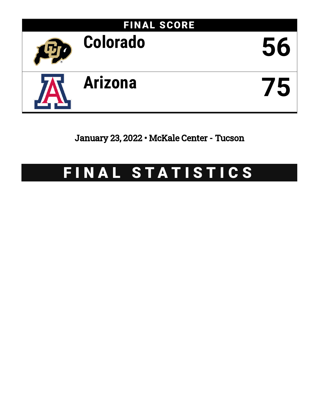

January 23, 2022 • McKale Center - Tucson

# FINAL STATISTICS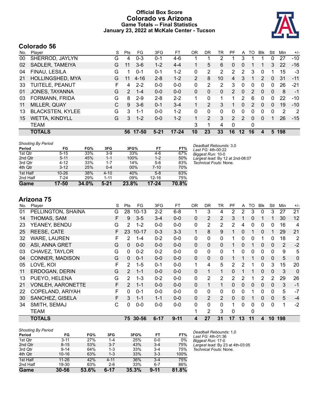### **Official Box Score Colorado vs Arizona Game Totals -- Final Statistics January 23, 2022 at McKale Center - Tucson**



# **Colorado 56**

| No. | Plaver                  | S | <b>Pts</b>    | FG       | 3FG      | FТ        | OR             | DR       | TR       | PF            | A        | TΩ            | <b>Blk</b>    | Stl      | Min | $+/-$ |
|-----|-------------------------|---|---------------|----------|----------|-----------|----------------|----------|----------|---------------|----------|---------------|---------------|----------|-----|-------|
| 00  | SHERROD, JAYLYN         | G | 4             | $0 - 3$  | $0 - 1$  | 4-6       |                |          | 2        |               | 3        |               |               | 0        | 27  | $-10$ |
| 02  | SADLER, TAMEIYA         | G | 11            | $3-6$    | $1 - 2$  | $4 - 4$   |                | 5        | 6        | 0             | 0        |               |               | 3        | 22  | $-16$ |
| 04  | FINAU, LESILA           | G |               | $0 - 1$  | $0 - 1$  | $1 - 2$   | 0              | 2        | 2        | 2             | 2        | 3             | 0             |          | 15  | -3    |
| 21  | HOLLINGSHED, MYA        | G | 11            | $4 - 16$ | $2 - 8$  | $1 - 2$   | $\overline{2}$ | 8        | 10       | 4             | 3        |               | $\mathcal{P}$ | $\Omega$ | 31  | $-11$ |
| 33  | TUITELE, PEANUT         | F | 4             | $2 - 2$  | $0 - 0$  | $0 - 0$   | $\Omega$       | 2        | 2        | 3             | 0        | 0             | 0             | 0        | 26  | $-21$ |
| 01  | JONES, TAYANNA          | G | $\mathcal{P}$ | $1 - 4$  | $0 - 0$  | $0 - 0$   | $\Omega$       | $\Omega$ | $\Omega$ | $\mathcal{P}$ | $\Omega$ | $\mathcal{P}$ | $\Omega$      | 0        | 8   | $-1$  |
| 03  | FORMANN, FRIDA          | G | 8             | $2 - 9$  | $2 - 8$  | $2 - 2$   | 1.             | 0        |          |               | 2        | 6             | 0             | 0        | 22  | $-10$ |
| 11  | MILLER, QUAY            | C | 9             | $3-6$    | $0 - 1$  | $3 - 4$   |                | 2        | 3        |               | 0        | $\mathcal{P}$ | $\Omega$      | 0        | 19  | $-10$ |
| 13  | <b>BLACKSTEN, KYLEE</b> | G | 3             | $1 - 1$  | $0 - 0$  | $1 - 2$   | 0              | 0        | $\Omega$ | 0             | 0        | 0             | 0             | 0        | 2   | -2    |
| 15  | <b>WETTA, KINDYLL</b>   | G | 3             | $1 - 2$  | $0 - 0$  | $1 - 2$   | $\mathbf{1}$   | 2        | 3        | $\mathcal{P}$ | 2        | 0             | $\Omega$      |          | 26  | $-15$ |
|     | TEAM                    |   |               |          |          |           | 3              |          | 4        | 0             |          | 0             |               |          |     |       |
|     | <b>TOTALS</b>           |   | 56            | 17-50    | $5 - 21$ | $17 - 24$ | 10             | 23       | 33       | 16            | $12 \,$  | 16            | 4             | 5        | 198 |       |

| <b>Shooting By Period</b> |           |       |          |       |           |       | Deadball Rebounds: 3,0           |
|---------------------------|-----------|-------|----------|-------|-----------|-------|----------------------------------|
| Period                    | FG        | FG%   | 3FG      | 3FG%  | FT        | FT%   | Last FG: 4th-00:22               |
| 1st Qtr                   | $5 - 15$  | 33%   | $3-9$    | 33%   | 4-6       | 67%   | Biggest Run: 10-0                |
| 2nd Qtr                   | $5 - 11$  | 45%   | $1 - 1$  | 100%  | $1 - 2$   | 50%   | Largest lead: By 12 at 2nd-08:07 |
| 3rd Qtr                   | $4 - 12$  | 33%   | $1 - 7$  | 14%   | $5-6$     | 83%   | Technical Fouls: None.           |
| 4th Qtr                   | $3 - 12$  | 25%   | $0 - 4$  | 00%   | $7 - 10$  | 70%   |                                  |
| 1st Half                  | $10 - 26$ | 38%   | $4 - 10$ | 40%   | $5-8$     | 63%   |                                  |
| 2nd Half                  | $7 - 24$  | 29%   | $1 - 11$ | 09%   | $12 - 16$ | 75%   |                                  |
| Game                      | 17-50     | 34.0% | $5 - 21$ | 23.8% | $17 - 24$ | 70.8% |                                  |

**Arizona 75**

| No. | Player                   | S | Pts           | FG        | 3FG      | FT       | <b>OR</b>    | <b>DR</b>      | TR             | PF             | A  | TO       | <b>Blk</b>   | Stl             | Min | $+/-$          |
|-----|--------------------------|---|---------------|-----------|----------|----------|--------------|----------------|----------------|----------------|----|----------|--------------|-----------------|-----|----------------|
| 01  | PELLINGTON, SHAINA       | G | 28            | $10 - 13$ | $2 - 2$  | $6 - 8$  |              | 3              | 4              | 2              | 2  | 3        | 0            | 3               | 27  | 21             |
| 14  | THOMAS, SAM              | F | 9             | $3 - 5$   | $3 - 4$  | $0 - 0$  | $\Omega$     | 2              | $\overline{2}$ | 3              |    | 0        |              | 1               | 30  | 12             |
| 23  | YEANEY, BENDU            | G | 2             | $1 - 2$   | $0 - 0$  | $0-0$    | 0            | 2              | $\overline{2}$ | 2              | 4  | 0        | 0            | 0               | 16  | $\overline{4}$ |
| 25  | REESE, CATE              | F | 23            | $10 - 17$ | $0 - 3$  | $3 - 3$  | 1            | 8              | 9              | 1              | 0  |          | 0            |                 | 29  | 21             |
| 32  | <b>WARE, LAUREN</b>      | F | 2             | $1 - 4$   | $0 - 2$  | $0-0$    | 0            | 0              | $\mathbf{0}$   |                | 0  | 0        |              | 0               | 18  | 2              |
| 00  | <b>ASI, ANNA GRET</b>    | G | 0             | $0 - 0$   | $0 - 0$  | $0 - 0$  | $\mathbf{0}$ | $\Omega$       | $\mathbf{0}$   |                | 0  |          | 0            | 0               | 2   | $-2$           |
| 03  | CHAVEZ, TAYLOR           | G | 0             | $0 - 2$   | $0 - 2$  | $0 - 0$  | 0            | 0              | $\mathbf{0}$   |                | 0  | 0        | 0            | $\mathbf{0}$    | 9   | 5              |
| 04  | <b>CONNER, MADISON</b>   | G | 0             | $0 - 1$   | $0 - 0$  | $0-0$    | $\Omega$     | $\mathbf{0}$   | $\Omega$       |                |    |          | $\mathbf{0}$ | $\mathbf 0$     | 5   | 0              |
| 05  | LOVE, KOI                | F | 2             | $1 - 5$   | $0 - 1$  | $0-0$    | 1            | 4              | 5              | $\overline{2}$ | 2  |          | 0            | 3               | 15  | 20             |
| 11  | ERDOGAN, DERIN           | G | $\mathcal{P}$ | $1 - 1$   | $0 - 0$  | $0-0$    | $\Omega$     | 1              | $\mathbf{1}$   | $\Omega$       |    |          | $\Omega$     | 0               | 3   | 0              |
| 13  | PUEYO, HELENA            | G | 2             | $1 - 3$   | $0 - 2$  | $0-0$    | $\mathbf{0}$ | 2              | $\overline{2}$ | 2              | 2  |          | 2            | 2               | 29  | 26             |
| 21  | <b>VONLEH, AARONETTE</b> | F | 2             | $1 - 1$   | $0 - 0$  | $0 - 0$  | $\Omega$     | 1              | 1              | 0              | 0  | $\Omega$ | $\mathbf{0}$ | $\mathbf{0}$    | 3   | $-1$           |
| 22  | COPELAND, ARIYAH         | F | 0             | $0 - 1$   | $0 - 0$  | $0-0$    | 0            | 0              | $\mathbf{0}$   | 0              | 0  |          | 0            | 0               | 5   | $-7$           |
| 30  | SANCHEZ, GISELA          | F | 3             | $1 - 1$   | $1 - 1$  | $0 - 0$  | $\mathbf{0}$ | $\overline{2}$ | $\overline{2}$ | 0              | 0  |          | 0            | 0               | 5   | $-4$           |
| 34  | SMITH, SEMAJ             | С | 0             | $0-0$     | $0-0$    | $0-0$    | 0            | 0              | $\mathbf{0}$   |                | 0  | 0        | 0            | $\mathbf{0}$    | 1   | $-2$           |
|     | TEAM                     |   |               |           |          |          |              | 2              | 3              | 0              |    | 0        |              |                 |     |                |
|     | <b>TOTALS</b>            |   | 75            | $30 - 56$ | $6 - 17$ | $9 - 11$ | 4            | 27             | 31             | 17             | 13 | 11       | 4            | 10 <sup>°</sup> | 198 |                |

| <b>Shooting By Period</b> |           |       |          |       |          |       |
|---------------------------|-----------|-------|----------|-------|----------|-------|
| Period                    | FG        | FG%   | 3FG      | 3FG%  | FT       | FT%   |
| 1st Qtr                   | $3 - 11$  | 27%   | $1 - 4$  | 25%   | $0 - 0$  | 0%    |
| 2nd Qtr                   | $8 - 15$  | 53%   | $3 - 7$  | 43%   | $3 - 4$  | 75%   |
| 3rd Qtr                   | $9 - 14$  | 64%   | $1 - 3$  | 33%   | $3 - 4$  | 75%   |
| 4th Qtr                   | $10 - 16$ | 63%   | $1 - 3$  | 33%   | $3 - 3$  | 100%  |
| 1st Half                  | $11 - 26$ | 42%   | $4 - 11$ | 36%   | $3 - 4$  | 75%   |
| 2nd Half                  | 19-30     | 63%   | $2 - 6$  | 33%   | $6 - 7$  | 86%   |
| Game                      | $30 - 56$ | 53.6% | $6 - 17$ | 35.3% | $9 - 11$ | 81.8% |

*Deadball Rebounds:* 1,0 *Last FG:* 4th-01:36 *Biggest Run:* 17-0 *Largest lead:* By 23 at 4th-03:05 *Technical Fouls:* None.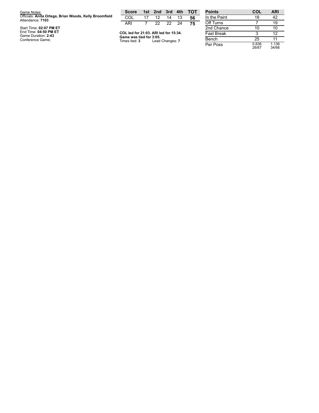| Game Notes:                                                                | <b>Score</b>                                    |                |                 |          |    | 1st 2nd 3rd 4th TOT | <b>Points</b>    |
|----------------------------------------------------------------------------|-------------------------------------------------|----------------|-----------------|----------|----|---------------------|------------------|
| Officials: Anita Ortega, Brian Woods, Kelly Broomfield<br>Attendance: 7103 | COL                                             | 17             | 12              | 14       | 13 | 56                  | In the Pair      |
|                                                                            | ARI                                             | $\overline{7}$ |                 | 22 22 24 |    | 75                  | Off Turns        |
| Start Time: 02:07 PM ET                                                    |                                                 |                |                 |          |    |                     | 2nd Chan         |
| End Time: 04:50 PM ET<br>Game Duration: 2:43                               | COL led for 21:03. ARI led for 15:34.           |                |                 |          |    |                     | <b>Fast Brea</b> |
| Conference Game;                                                           | Game was tied for 3:05.<br>Times tied: <b>3</b> |                | Lead Changes: 7 |          |    |                     | Bench            |

| <b>Points</b>     | COL            | ARI            |
|-------------------|----------------|----------------|
| In the Paint      | 18             | 42             |
| Off Turns         | 7              | 19             |
| 2nd Chance        | 10             | 10             |
| <b>Fast Break</b> | 3              | 12             |
| Bench             | 25             | 11             |
| Per Poss          | 0.836<br>26/67 | 1.136<br>34/66 |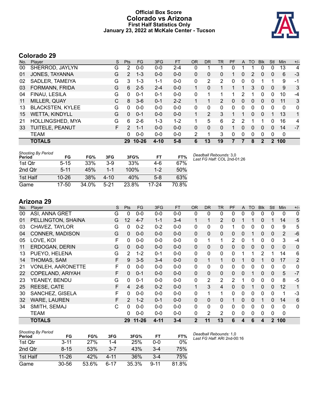### **Official Box Score Colorado vs Arizona First Half Statistics Only January 23, 2022 at McKale Center - Tucson**



# **Colorado 29**

| No. | Plaver                  | S  | <b>Pts</b>            | <b>FG</b> | 3FG      | <b>FT</b> | <b>OR</b> | <b>DR</b> | <b>TR</b>      | PF       | A        | TO       | <b>B</b> lk | Stl          | Min         | $+/-$ |
|-----|-------------------------|----|-----------------------|-----------|----------|-----------|-----------|-----------|----------------|----------|----------|----------|-------------|--------------|-------------|-------|
| 00  | SHERROD, JAYLYN         | G  | 2                     | $0 - 0$   | $0 - 0$  | $2 - 4$   | 0         |           |                |          |          |          | 0           | 0            | 13          | 4     |
| 01  | JONES, TAYANNA          | G  | $\mathbf{2}^{\prime}$ | $1 - 3$   | $0 - 0$  | $0 - 0$   | 0         | 0         | 0              |          | 0        | 2        | 0           | 0            | 6           | $-3$  |
| 02  | SADLER, TAMEIYA         | G  | 3                     | 1-3       | $1 - 1$  | $0 - 0$   | 0         | 2         | $\overline{2}$ | 0        | 0        | 0        |             |              | 9           | -1    |
| 03  | FORMANN, FRIDA          | G  | 6                     | $2 - 5$   | $2 - 4$  | $0 - 0$   |           | 0         |                |          |          | 3        | $\Omega$    | 0            | 9           | 3     |
| 04  | FINAU, LESILA           | G  | 0                     | $0 - 1$   | $0 - 1$  | $0 - 0$   | 0         |           |                |          | 2        |          | 0           | 0            | 10          | $-4$  |
| 11  | MILLER, QUAY            | С  | 8                     | $3-6$     | $0 - 1$  | $2 - 2$   |           | 1         | 2              | $\Omega$ | 0        | 0        | $\Omega$    | $\mathbf{0}$ | 11          | 3     |
| 13  | <b>BLACKSTEN, KYLEE</b> | G  | 0                     | $0 - 0$   | $0 - 0$  | $0 - 0$   | 0         | 0         | $\Omega$       | $\Omega$ | 0        | $\Omega$ | $\Omega$    | 0            | $\mathbf 0$ | 0     |
| 15  | <b>WETTA, KINDYLL</b>   | G  | 0                     | $0 - 1$   | $0 - 0$  | $0 - 0$   |           | 2         | 3              |          |          | 0        | $\Omega$    |              | 13          | 1     |
| 21  | HOLLINGSHED, MYA        | G  | 6                     | $2-6$     | 1-3      | $1 - 2$   |           | 5         | 6              | 2        | 2        |          |             | 0            | 16          | 4     |
| 33  | TUITELE, PEANUT         | F. | $\mathcal{P}$         | $1 - 1$   | $0 - 0$  | $0 - 0$   | 0         | 0         | 0              |          | 0        | $\Omega$ | $\Omega$    | 0            | 14          | $-7$  |
|     | <b>TEAM</b>             |    | 0                     | $0 - 0$   | $0 - 0$  | $0 - 0$   | 2         | 1         | 3              | 0        | $\Omega$ | $\Omega$ | 0           | 0            | $\mathbf 0$ |       |
|     | <b>TOTALS</b>           |    | 29                    | $10 - 26$ | $4 - 10$ | $5 - 8$   | 6         | 13        | 19             |          |          | 8        | 2           | 2            | 100         |       |

| <b>Shooting By Period</b><br>Period | FG        | FG%   | 3FG      | 3FG%    | FT    | FT%   | Deadball Rebounds: 3,0<br>Last FG Half: COL 2nd-01:26 |
|-------------------------------------|-----------|-------|----------|---------|-------|-------|-------------------------------------------------------|
| 1st Otr                             | $5 - 15$  | 33%   | $3-9$    | 33%     | 4-6   | 67%   |                                                       |
| 2nd Qtr                             | $5 - 11$  | 45%   | $1 - 1$  | $100\%$ | 1-2   | 50%   |                                                       |
| 1st Half                            | $10 - 26$ | 38%   | $4 - 10$ | 40%     | $5-8$ | 63%   |                                                       |
| Game                                | $17 - 50$ | 34.0% | $5 - 21$ | 23.8%   | 17-24 | 70.8% |                                                       |

# **Arizona 29**

| No. | Player                   | S | Pts           | <b>FG</b> | 3FG      | <b>FT</b> | <b>OR</b>      | <b>DR</b> | <b>TR</b>      | PF           | A        | <b>TO</b> | <b>Blk</b>   | Stl          | Min            | $+/-$          |
|-----|--------------------------|---|---------------|-----------|----------|-----------|----------------|-----------|----------------|--------------|----------|-----------|--------------|--------------|----------------|----------------|
| 00  | ASI, ANNA GRET           | G | 0             | $0 - 0$   | $0-0$    | $0-0$     | 0              | 0         | 0              | 0            | 0        | 0         | 0            | 0            | 0              | 0              |
| 01  | PELLINGTON, SHAINA       | G | 12            | $4 - 7$   | $1 - 1$  | $3 - 4$   | 1              | 1         | $\overline{2}$ | 0            |          |           | 0            |              | 14             | 5              |
| 03  | CHAVEZ, TAYLOR           | G | 0             | $0 - 2$   | $0 - 2$  | $0 - 0$   | 0              | 0         | 0              |              | 0        | 0         | 0            | 0            | 9              | 5              |
| 04  | CONNER, MADISON          | G | 0             | $0 - 0$   | $0 - 0$  | $0 - 0$   | $\mathbf{0}$   | $\Omega$  | $\mathbf 0$    | 0            | 0        |           | 0            | 0            | 2              | $-6$           |
| 05  | LOVE, KOI                | F | 0             | $0-0$     | $0-0$    | $0-0$     | $\mathbf{0}$   | 1         | 1              | 2            | 0        | 1         | $\mathbf{0}$ | $\Omega$     | 3              | $-4$           |
| 11  | ERDOGAN, DERIN           | G | 0             | $0 - 0$   | $0 - 0$  | $0 - 0$   | $\mathbf{0}$   | $\Omega$  | $\mathbf{0}$   | 0            | $\Omega$ | 0         | $\mathbf{0}$ | $\Omega$     | $\overline{0}$ | 0              |
| 13  | PUEYO, HELENA            | G | 2             | $1 - 2$   | $0 - 1$  | $0-0$     | 0              | 0         | 0              | 0            |          |           | 2            |              | 14             | 6              |
| 14  | THOMAS, SAM              | F | 9             | $3 - 5$   | $3 - 4$  | $0 - 0$   | $\Omega$       | 1         | 1              | $\Omega$     |          | 0         |              | $\Omega$     | 17             | $\overline{2}$ |
| 21  | <b>VONLEH, AARONETTE</b> | F | 0             | $0 - 0$   | $0 - 0$  | $0-0$     | 0              | 0         | 0              | 0            | 0        | 0         | 0            | 0            | 0              | 0              |
| 22  | COPELAND, ARIYAH         | F | 0             | $0 - 1$   | $0 - 0$  | $0 - 0$   | $\mathbf{0}$   | $\Omega$  | $\mathbf{0}$   | 0            | 0        |           | $\mathbf{0}$ | 0            | 5              | $-7$           |
| 23  | YEANEY, BENDU            | G | 0             | $0 - 1$   | $0 - 0$  | $0 - 0$   | $\mathbf{0}$   | 2         | 2              | 2            | 1        | 0         | $\mathbf{0}$ | 0            | 8              | $-5$           |
| 25  | REESE, CATE              | F | 4             | $2 - 6$   | $0 - 2$  | $0 - 0$   | $\mathbf{1}$   | 3         | 4              | 0            | $\Omega$ | 1         | $\mathbf{0}$ | $\mathbf{0}$ | 12             | 1              |
| 30  | SANCHEZ, GISELA          | F | 0             | $0 - 0$   | $0 - 0$  | $0 - 0$   | 0              | 1         | 1              | 0            | 0        | 0         | $\mathbf{0}$ | $\Omega$     | 1              | $-3$           |
| 32  | <b>WARE, LAUREN</b>      | F | $\mathcal{P}$ | $1 - 2$   | $0 - 1$  | $0 - 0$   | $\Omega$       | 0         | $\Omega$       | $\mathbf{1}$ | 0        | 0         |              | $\Omega$     | 14             | 6              |
| 34  | SMITH, SEMAJ             | С | 0             | $0 - 0$   | $0 - 0$  | $0 - 0$   | 0              | 0         | $\Omega$       | 0            | 0        | 0         | 0            | 0            | 0              | $\mathbf{0}$   |
|     | <b>TEAM</b>              |   | 0             | $0 - 0$   | $0 - 0$  | $0 - 0$   | 0              | 2         | 2              | 0            | 0        | 0         | 0            | 0            | 0              |                |
|     | <b>TOTALS</b>            |   | 29            | $11 - 26$ | $4 - 11$ | $3 - 4$   | $\overline{2}$ | 11        | 13             | 6            | 4        | 6         | 4            | $\mathbf{2}$ | 100            |                |

| Shooting By Period<br>Period | FG        | FG%   | 3FG     | 3FG%  | FТ       | FT%   |
|------------------------------|-----------|-------|---------|-------|----------|-------|
| 1st Otr                      | $3 - 11$  | 27%   | 1-4     | 25%   | 0-0      | 0%    |
| 2nd Qtr                      | $8 - 15$  | 53%   | $3 - 7$ | 43%   | $3-4$    | 75%   |
| 1st Half                     | $11 - 26$ | 42%   | 4-11    | 36%   | $3-4$    | 75%   |
| Game                         | $30 - 56$ | 53.6% | հ-17    | 35.3% | $9 - 11$ | 81.8% |

*Deadball Rebounds:* 1,0 *Last FG Half:* ARI 2nd-00:16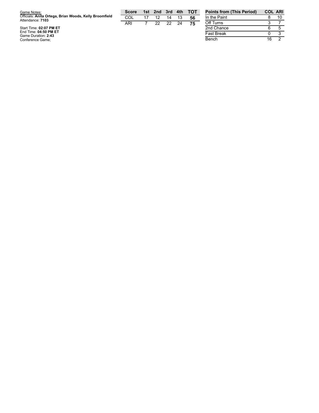| Game Notes:                                                                | <b>Score</b> | 1st | 2nd | 3rd  | 4th | <b>TOT</b> | <b>Points</b> |
|----------------------------------------------------------------------------|--------------|-----|-----|------|-----|------------|---------------|
| Officials: Anita Ortega, Brian Woods, Kelly Broomfield<br>Attendance: 7103 | COL          |     | 12  | 14   | 13  | 56         | In the F      |
|                                                                            | ARI          |     | 22  | - 22 | 24  | 75         | Off Turi      |
| Start Time: 02:07 PM ET                                                    |              |     |     |      |     |            | 2nd Ch        |
| End Time: 04:50 PM ET                                                      |              |     |     |      |     |            | Fast Br       |
| Game Duration: 2:43                                                        |              |     |     |      |     |            |               |
| Conference Game;                                                           |              |     |     |      |     |            | Bench         |

| <b>Points from (This Period)</b> | <b>COL ARI</b> |    |
|----------------------------------|----------------|----|
| In the Paint                     | 8              | 10 |
| Off Turns                        | З              |    |
| 2nd Chance                       | 6              | 5  |
| <b>Fast Break</b>                | O              |    |
| Bench                            | 16             |    |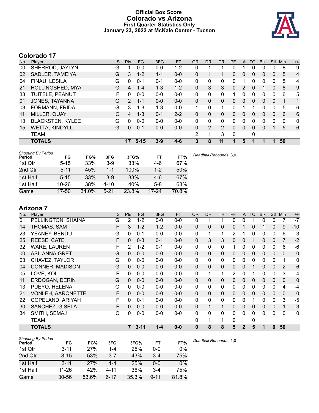### **Official Box Score Colorado vs Arizona First Quarter Statistics Only January 23, 2022 at McKale Center - Tucson**



# **Colorado 17**

| No. | Plaver                  | S | <b>Pts</b> | <b>FG</b> | 3FG     | <b>FT</b> | <b>OR</b>    | <b>DR</b> | TR. | <b>PF</b>    | A        | TO       | <b>Blk</b> | Stl          | Min      | $+/-$        |
|-----|-------------------------|---|------------|-----------|---------|-----------|--------------|-----------|-----|--------------|----------|----------|------------|--------------|----------|--------------|
| 00  | SHERROD, JAYLYN         | G |            | $0-0$     | $0 - 0$ | $1 - 2$   | 0            |           |     | 0            |          | 0        | 0          | 0            | 8        | 9            |
| 02  | SADLER, TAMEIYA         | G | 3          | $1 - 2$   | $1 - 1$ | $0 - 0$   | 0            |           |     | 0            | 0        | 0        | 0          | 0            | 5        | 4            |
| 04  | FINAU, LESILA           | G | 0          | $0 - 1$   | $0 - 1$ | $0 - 0$   | $\Omega$     | 0         | 0   | 0            |          | 0        | 0          | 0            | 5        | 4            |
| 21  | HOLLINGSHED, MYA        | G | 4          | $1 - 4$   | $1 - 3$ | $1 - 2$   | $\Omega$     | 3         | 3   | $\mathbf{0}$ | 2        | $\Omega$ | 1          | $\mathbf{0}$ | 8        | 9            |
| 33  | TUITELE, PEANUT         | F | 0          | $0 - 0$   | $0 - 0$ | $0 - 0$   | 0            | 0         | 0   |              | 0        | 0        | $\Omega$   | 0            | 6        | 5            |
| 01  | JONES, TAYANNA          | G | 2          | $1 - 1$   | $0 - 0$ | $0 - 0$   | $\Omega$     | $\Omega$  | 0   | $\Omega$     | $\Omega$ | $\Omega$ | $\Omega$   | $\Omega$     |          | $\mathbf{1}$ |
| 03  | FORMANN, FRIDA          | G | 3          | 1-3       | $1 - 3$ | $0 - 0$   | 1            | 0         | 1   | 0            |          |          | 0          | 0            | 5        | 6            |
| 11  | MILLER, QUAY            | C | 4          | $1 - 3$   | $0 - 1$ | $2 - 2$   | $\Omega$     | $\Omega$  | 0   | 0            | 0        | $\Omega$ | $\Omega$   | $\mathbf{0}$ | 6        | 6            |
| 13  | <b>BLACKSTEN, KYLEE</b> | G | 0          | $0 - 0$   | $0 - 0$ | $0 - 0$   | $\Omega$     | 0         | 0   | 0            | 0        | 0        | 0          | 0            | $\Omega$ | $\mathbf{0}$ |
| 15  | <b>WETTA, KINDYLL</b>   | G | 0          | $0 - 1$   | $0 - 0$ | $0 - 0$   | $\mathbf{0}$ | 2         | 2   | $\Omega$     | 0        | $\Omega$ | $\Omega$   |              | 5        | 6            |
|     | <b>TEAM</b>             |   |            |           |         |           | 2            |           | 3   | $\mathbf{0}$ |          | 0        |            |              |          |              |
|     | <b>TOTALS</b>           |   | 17         | $5 - 15$  | $3-9$   | $4 - 6$   | 3            | 8         | 11  | 1            | 5        |          |            | 1            | 50       |              |

| <b>Shooting By Period</b><br>Period | FG        | FG%   | 3FG      | 3FG%  | FT        | FT%   | Deadball Rebounds: 3,0 |
|-------------------------------------|-----------|-------|----------|-------|-----------|-------|------------------------|
| 1st Qtr                             | $5 - 15$  | 33%   | $3-9$    | 33%   | 4-6       | 67%   |                        |
| 2nd Qtr                             | $5 - 11$  | 45%   | 1-1      | 100%  | $1 - 2$   | 50%   |                        |
| 1st Half                            | $5 - 15$  | 33%   | $3-9$    | 33%   | $4-6$     | 67%   |                        |
| 1st Half                            | $10 - 26$ | 38%   | $4 - 10$ | 40%   | $5-8$     | 63%   |                        |
| Game                                | 17-50     | 34.0% | $5 - 21$ | 23.8% | $17 - 24$ | 70.8% |                        |

# **Arizona 7**

| No. | Player                   | S | Pts            | <b>FG</b> | 3FG     | <b>FT</b> | <b>OR</b>    | <b>DR</b>    | <b>TR</b>   | PF             | A            | <b>TO</b>    | <b>Blk</b>   | <b>Stl</b>   | Min          | $+/-$        |
|-----|--------------------------|---|----------------|-----------|---------|-----------|--------------|--------------|-------------|----------------|--------------|--------------|--------------|--------------|--------------|--------------|
| 01  | PELLINGTON, SHAINA       | G | 2              | $1 - 2$   | $0-0$   | $0-0$     | 0            |              |             | 0              | 0            |              | 0            | 0            |              | $-7$         |
| 14  | THOMAS, SAM              | F | 3              | $1 - 2$   | $1 - 2$ | $0 - 0$   | $\mathbf{0}$ | $\Omega$     | 0           | 0              |              | 0            |              | 0            | 9            | $-10$        |
| 23  | YEANEY, BENDU            | G | 0              | $0 - 1$   | $0 - 0$ | $0 - 0$   | $\mathbf{0}$ | 1            | 1           | $\overline{2}$ |              | 0            | 0            | 0            | 6            | $-3$         |
| 25  | REESE, CATE              | F | $\mathbf{0}$   | $0 - 3$   | $0 - 1$ | $0-0$     | $\Omega$     | 3            | 3           | 0              | $\mathbf 0$  |              | 0            | $\mathbf 0$  | 7            | $-2$         |
| 32  | WARE, LAUREN             | F | 2              | $1 - 2$   | $0 - 1$ | $0-0$     | $\mathbf{0}$ | 0            | 0           | 1              | 0            | 0            | $\mathbf{0}$ | 0            | 6            | -6           |
| 00  | ASI, ANNA GRET           | G | $\mathbf{0}$   | $0 - 0$   | $0 - 0$ | $0-0$     | $\Omega$     | $\mathbf{0}$ | 0           | $\Omega$       | $\mathbf 0$  | $\mathbf{0}$ | $\mathbf{0}$ | $\mathbf{0}$ | $\mathbf{0}$ | $\mathbf 0$  |
| 03  | CHAVEZ, TAYLOR           | G | 0              | $0-0$     | $0-0$   | $0-0$     | 0            | 0            | 0           | 0              | $\mathbf{0}$ | 0            | $\mathbf{0}$ | $\mathbf{0}$ | 1            | $\mathbf{0}$ |
| 04  | <b>CONNER, MADISON</b>   | G | 0              | $0 - 0$   | $0 - 0$ | $0-0$     | $\Omega$     | $\mathbf{0}$ | 0           | 0              | $\mathbf{0}$ |              | 0            | $\mathbf{0}$ | 2            | $-6$         |
| 05  | LOVE, KOI                | F | 0              | $0 - 0$   | $0-0$   | $0-0$     | 0            | 1            | 1           | 2              | $\mathbf{0}$ |              | 0            | 0            | 3            | $-4$         |
| 11  | ERDOGAN, DERIN           | G | 0              | $0 - 0$   | $0 - 0$ | $0-0$     | $\Omega$     | 0            | 0           | 0              | $\Omega$     | 0            | 0            | 0            | $\mathbf 0$  | 0            |
| 13  | PUEYO, HELENA            | G | 0              | $0-0$     | $0 - 0$ | $0-0$     | $\mathbf{0}$ | $\mathbf{0}$ | 0           | 0              | 0            | 0            | 0            | 0            | 4            | $-4$         |
| 21  | <b>VONLEH, AARONETTE</b> | F | 0              | $0-0$     | $0 - 0$ | $0-0$     | $\Omega$     | $\Omega$     | 0           | 0              | $\mathbf 0$  | 0            | 0            | $\Omega$     | $\mathbf 0$  | 0            |
| 22  | COPELAND, ARIYAH         | F | $\Omega$       | $0 - 1$   | $0-0$   | $0-0$     | $\Omega$     | $\mathbf{0}$ | 0           | 0              | $\mathbf{0}$ |              | 0            | $\mathbf{0}$ | 3            | $-5$         |
| 30  | SANCHEZ, GISELA          | F | $\mathbf{0}$   | $0-0$     | $0-0$   | $0-0$     | $\Omega$     | $\mathbf 1$  | 1           | 0              | $\mathbf{0}$ | $\Omega$     | $\mathbf{0}$ | $\mathbf 0$  | 1            | $-3$         |
| 34  | SMITH, SEMAJ             | С | 0              | $0 - 0$   | $0 - 0$ | $0 - 0$   | $\Omega$     | $\Omega$     | $\mathbf 0$ | $\Omega$       | $\Omega$     | 0            | 0            | $\Omega$     | $\Omega$     | $\mathbf{0}$ |
|     | TEAM                     |   |                |           |         |           | 0            |              | 1           | 0              |              | 0            |              |              |              |              |
|     | <b>TOTALS</b>            |   | $\overline{7}$ | $3 - 11$  | $1 - 4$ | $0 - 0$   | $\bf{0}$     | 8            | 8           | 5              | $\mathbf{2}$ | 5            | 1            | 0            | 50           |              |

| Shooting By Period |           |       |          |       |          |       |
|--------------------|-----------|-------|----------|-------|----------|-------|
| Period             | FG        | FG%   | 3FG      | 3FG%  | FT       | FT%   |
| 1st Qtr            | $3 - 11$  | 27%   | 1-4      | 25%   | $0 - 0$  | $0\%$ |
| 2nd Qtr            | $8 - 15$  | 53%   | $3 - 7$  | 43%   | $3 - 4$  | 75%   |
| 1st Half           | $3 - 11$  | 27%   | $1 - 4$  | 25%   | $0 - 0$  | $0\%$ |
| 1st Half           | 11-26     | 42%   | $4 - 11$ | 36%   | $3-4$    | 75%   |
| Game               | $30 - 56$ | 53.6% | 6-17     | 35.3% | $9 - 11$ | 81.8% |

*Deadball Rebounds:* 1,0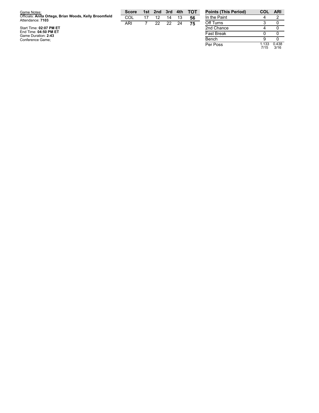| Game Notes:                                                                | <b>Score</b> |    | 1st 2nd |      | 3rd 4th | <b>TOT</b> | <b>Points (This Perio</b> |
|----------------------------------------------------------------------------|--------------|----|---------|------|---------|------------|---------------------------|
| Officials: Anita Ortega, Brian Woods, Kelly Broomfield<br>Attendance: 7103 | COL          | 17 | 12      | 14   | 13      | 56         | In the Paint              |
|                                                                            | ARI          |    | 22      | -22. | 24      | 75         | Off Turns                 |
| Start Time: 02:07 PM ET                                                    |              |    |         |      |         |            | 2nd Chance                |
| End Time: 04:50 PM ET<br>Game Duration: 2:43                               |              |    |         |      |         |            | <b>Fast Break</b>         |
| Conference Game;                                                           |              |    |         |      |         |            | Bench                     |

| <b>Points (This Period)</b> | COL           | ARI           |
|-----------------------------|---------------|---------------|
| In the Paint                |               | 2             |
| Off Turns                   | 3             |               |
| 2nd Chance                  |               |               |
| <b>Fast Break</b>           | n             |               |
| Bench                       | я             |               |
| Per Poss                    | 1.133<br>7/15 | 0.438<br>3/16 |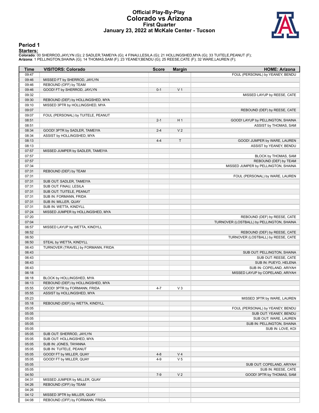#### **Official Play-By-Play Colorado vs Arizona First Quarter January 23, 2022 at McKale Center - Tucson**



#### **Period 1**

<mark>Starters :</mark><br>Colorado: 00 SHERROD,JAYLYN (G); 2 SADLER,TAMEIYA (G); 4 FINAU,LESILA (G); 21 HOLLINGSHED,MYA (G); 33 TUITELE,PEANUT (F);<br>**Arizona**: 1 PELLINGTON,SHAINA (G); 14 THOMAS,SAM (F); 23 YEANEY,BENDU (G); 25 REESE,CA

| Time           | <b>VISITORS: Colorado</b>           | <b>Score</b> | <b>Margin</b>  | <b>HOME: Arizona</b>                      |
|----------------|-------------------------------------|--------------|----------------|-------------------------------------------|
| 09:47          |                                     |              |                | FOUL (PERSONAL) by YEANEY, BENDU          |
| 09:46          | MISSED FT by SHERROD, JAYLYN        |              |                |                                           |
| 09:46          | REBOUND (OFF) by TEAM               |              |                |                                           |
| 09:46          | GOOD! FT by SHERROD, JAYLYN         | $0 - 1$      | V <sub>1</sub> |                                           |
| 09:32          |                                     |              |                | MISSED LAYUP by REESE, CATE               |
| 09:30          | REBOUND (DEF) by HOLLINGSHED, MYA   |              |                |                                           |
| 09:10          | MISSED 3PTR by HOLLINGSHED, MYA     |              |                |                                           |
| 09:07          |                                     |              |                | REBOUND (DEF) by REESE, CATE              |
| 09:07          | FOUL (PERSONAL) by TUITELE, PEANUT  |              |                |                                           |
| 08:51          |                                     | $2 - 1$      | H <sub>1</sub> | GOOD! LAYUP by PELLINGTON, SHAINA         |
| 08:51          |                                     |              |                | ASSIST by THOMAS, SAM                     |
| 08:34          | GOOD! 3PTR by SADLER, TAMEIYA       | $2 - 4$      | V <sub>2</sub> |                                           |
| 08:34          | ASSIST by HOLLINGSHED, MYA          |              |                |                                           |
| 08:13          |                                     | $4 - 4$      | $\mathsf T$    | GOOD! JUMPER by WARE, LAUREN              |
| 08:13          |                                     |              |                | ASSIST by YEANEY, BENDU                   |
| 07:57          | MISSED JUMPER by SADLER, TAMEIYA    |              |                |                                           |
| 07:57          |                                     |              |                | BLOCK by THOMAS, SAM                      |
| 07:57          |                                     |              |                | REBOUND (DEF) by TEAM                     |
| 07:34          |                                     |              |                | MISSED JUMPER by PELLINGTON, SHAINA       |
| 07:31          | REBOUND (DEF) by TEAM               |              |                |                                           |
| 07:31          |                                     |              |                | FOUL (PERSONAL) by WARE, LAUREN           |
| 07:31          | SUB OUT: SADLER, TAMEIYA            |              |                |                                           |
| 07:31          | SUB OUT: FINAU, LESILA              |              |                |                                           |
| 07:31          | SUB OUT: TUITELE, PEANUT            |              |                |                                           |
| 07:31          | SUB IN: FORMANN, FRIDA              |              |                |                                           |
| 07:31          | SUB IN: MILLER, QUAY                |              |                |                                           |
| 07:31          | SUB IN: WETTA, KINDYLL              |              |                |                                           |
| 07:24          | MISSED JUMPER by HOLLINGSHED, MYA   |              |                |                                           |
| 07:20          |                                     |              |                | REBOUND (DEF) by REESE, CATE              |
| 07:04          |                                     |              |                | TURNOVER (LOSTBALL) by PELLINGTON, SHAINA |
| 06:57          | MISSED LAYUP by WETTA, KINDYLL      |              |                |                                           |
| 06:52          |                                     |              |                | REBOUND (DEF) by REESE, CATE              |
| 06:50          |                                     |              |                | TURNOVER (LOSTBALL) by REESE, CATE        |
| 06:50          | STEAL by WETTA, KINDYLL             |              |                |                                           |
|                |                                     |              |                |                                           |
| 06:43<br>06:43 | TURNOVER (TRAVEL) by FORMANN, FRIDA |              |                |                                           |
| 06:43          |                                     |              |                | SUB OUT: PELLINGTON, SHAINA               |
| 06:43          |                                     |              |                | SUB OUT: REESE, CATE                      |
|                |                                     |              |                | SUB IN: PUEYO, HELENA                     |
| 06:43          |                                     |              |                | SUB IN: COPELAND, ARIYAH                  |
| 06:18          |                                     |              |                | MISSED LAYUP by COPELAND, ARIYAH          |
| 06:18          | BLOCK by HOLLINGSHED, MYA           |              |                |                                           |
| 06:13          | REBOUND (DEF) by HOLLINGSHED, MYA   |              |                |                                           |
| 05:55          | GOOD! 3PTR by FORMANN, FRIDA        | $4 - 7$      | $V_3$          |                                           |
| 05:55          | ASSIST by HOLLINGSHED, MYA          |              |                |                                           |
| 05:23          |                                     |              |                | MISSED 3PTR by WARE, LAUREN               |
| 05:18          | REBOUND (DEF) by WETTA, KINDYLL     |              |                |                                           |
| 05:05          |                                     |              |                | FOUL (PERSONAL) by YEANEY, BENDU          |
| 05:05          |                                     |              |                | SUB OUT: YEANEY, BENDU                    |
| 05:05          |                                     |              |                | SUB OUT: WARE, LAUREN                     |
| 05:05          |                                     |              |                | SUB IN: PELLINGTON, SHAINA                |
| 05:05          |                                     |              |                | SUB IN: LOVE, KOI                         |
| 05:05          | SUB OUT: SHERROD, JAYLYN            |              |                |                                           |
| 05:05          | SUB OUT: HOLLINGSHED, MYA           |              |                |                                           |
| 05:05          | SUB IN: JONES, TAYANNA              |              |                |                                           |
| 05:05          | SUB IN: TUITELE, PEANUT             |              |                |                                           |
| 05:05          | GOOD! FT by MILLER, QUAY            | $4 - 8$      | V <sub>4</sub> |                                           |
| 05:05          | GOOD! FT by MILLER, QUAY            | $4 - 9$      | V <sub>5</sub> |                                           |
| 05:05          |                                     |              |                | SUB OUT: COPELAND, ARIYAH                 |
| 05:05          |                                     |              |                | SUB IN: REESE, CATE                       |
| 04:50          |                                     | $7-9$        | V <sub>2</sub> | GOOD! 3PTR by THOMAS, SAM                 |
| 04:31          | MISSED JUMPER by MILLER, QUAY       |              |                |                                           |
| 04:26          | REBOUND (OFF) by TEAM               |              |                |                                           |
| 04:26          |                                     |              |                |                                           |
| 04:12          | MISSED 3PTR by MILLER, QUAY         |              |                |                                           |
| 04:08          | REBOUND (OFF) by FORMANN, FRIDA     |              |                |                                           |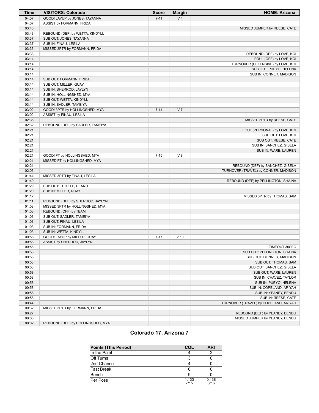| <b>Time</b>    | <b>VISITORS: Colorado</b>         | <b>Score</b> | <b>Margin</b>  | <b>HOME: Arizona</b>                         |
|----------------|-----------------------------------|--------------|----------------|----------------------------------------------|
| 04:07          | GOOD! LAYUP by JONES, TAYANNA     | $7 - 11$     | V <sub>4</sub> |                                              |
| 04:07          | ASSIST by FORMANN, FRIDA          |              |                |                                              |
| 03:46          |                                   |              |                | MISSED JUMPER by REESE, CATE                 |
| 03:43          | REBOUND (DEF) by WETTA, KINDYLL   |              |                |                                              |
| 03:37          | SUB OUT: JONES, TAYANNA           |              |                |                                              |
| 03:37          | SUB IN: FINAU, LESILA             |              |                |                                              |
| 03:36          | MISSED 3PTR by FORMANN, FRIDA     |              |                |                                              |
| 03:33          |                                   |              |                | REBOUND (DEF) by LOVE, KOI                   |
| 03:14          |                                   |              |                | FOUL (OFF) by LOVE, KOI                      |
| 03:14          |                                   |              |                | TURNOVER (OFFENSIVE) by LOVE, KOI            |
| 03:14          |                                   |              |                | SUB OUT: PUEYO, HELENA                       |
| 03:14          |                                   |              |                | SUB IN: CONNER, MADISON                      |
| 03:14          | SUB OUT: FORMANN, FRIDA           |              |                |                                              |
| 03:14          | SUB OUT: MILLER, QUAY             |              |                |                                              |
| 03:14          | SUB IN: SHERROD, JAYLYN           |              |                |                                              |
| 03:14          | SUB IN: HOLLINGSHED, MYA          |              |                |                                              |
| 03:14          | SUB OUT: WETTA, KINDYLL           |              |                |                                              |
| 03:14          | SUB IN: SADLER, TAMEIYA           |              |                |                                              |
| 03:02          | GOOD! 3PTR by HOLLINGSHED, MYA    | $7 - 14$     | V <sub>7</sub> |                                              |
| 03:02          | ASSIST by FINAU, LESILA           |              |                |                                              |
| 02:36          |                                   |              |                | MISSED 3PTR by REESE, CATE                   |
| 02:32          | REBOUND (DEF) by SADLER, TAMEIYA  |              |                |                                              |
| 02:21          |                                   |              |                | FOUL (PERSONAL) by LOVE, KOI                 |
| 02:21          |                                   |              |                | SUB OUT: LOVE, KOI                           |
| 02:21          |                                   |              |                | SUB OUT: REESE, CATE                         |
| 02:21          |                                   |              |                | SUB IN: SANCHEZ, GISELA                      |
| 02:21          |                                   |              |                | SUB IN: WARE, LAUREN                         |
| 02:21          | GOOD! FT by HOLLINGSHED, MYA      | $7 - 15$     | V8             |                                              |
| 02:21          | MISSED FT by HOLLINGSHED, MYA     |              |                |                                              |
| 02:21          |                                   |              |                | REBOUND (DEF) by SANCHEZ, GISELA             |
| 02:03          |                                   |              |                | TURNOVER (TRAVEL) by CONNER, MADISON         |
| 01:44          | MISSED 3PTR by FINAU, LESILA      |              |                |                                              |
| 01:40          |                                   |              |                | REBOUND (DEF) by PELLINGTON, SHAINA          |
| 01:29          | SUB OUT: TUITELE, PEANUT          |              |                |                                              |
| 01:29          | SUB IN: MILLER, QUAY              |              |                |                                              |
| 01:17          |                                   |              |                | MISSED 3PTR by THOMAS, SAM                   |
| 01:11          | REBOUND (DEF) by SHERROD, JAYLYN  |              |                |                                              |
| 01:08          | MISSED 3PTR by HOLLINGSHED, MYA   |              |                |                                              |
| 01:03          | REBOUND (OFF) by TEAM             |              |                |                                              |
| 01:03          | SUB OUT: SADLER, TAMEIYA          |              |                |                                              |
| 01:03          | SUB OUT: FINAU, LESILA            |              |                |                                              |
| 01:03          | SUB IN: FORMANN, FRIDA            |              |                |                                              |
| 01:03<br>00:58 | SUB IN: WETTA, KINDYLL            | $7 - 17$     | $V$ 10         |                                              |
|                | GOOD! LAYUP by MILLER, QUAY       |              |                |                                              |
| 00:58<br>00:58 | ASSIST by SHERROD, JAYLYN         |              |                |                                              |
| 00:58          |                                   |              |                | TIMEOUT 30SEC<br>SUB OUT: PELLINGTON, SHAINA |
| 00:58          |                                   |              |                | SUB OUT: CONNER, MADISON                     |
| 00:58          |                                   |              |                | SUB OUT: THOMAS, SAM                         |
| 00:58          |                                   |              |                | SUB OUT: SANCHEZ, GISELA                     |
| 00:58          |                                   |              |                | SUB OUT: WARE, LAUREN                        |
| 00:58          |                                   |              |                | SUB IN: CHAVEZ, TAYLOR                       |
| 00:58          |                                   |              |                | SUB IN: PUEYO, HELENA                        |
| 00:58          |                                   |              |                | SUB IN: COPELAND, ARIYAH                     |
| 00:58          |                                   |              |                | SUB IN: YEANEY, BENDU                        |
| 00:58          |                                   |              |                | SUB IN: REESE, CATE                          |
| 00:44          |                                   |              |                | TURNOVER (TRAVEL) by COPELAND, ARIYAH        |
| 00:32          | MISSED 3PTR by FORMANN, FRIDA     |              |                |                                              |
| 00:27          |                                   |              |                | REBOUND (DEF) by YEANEY, BENDU               |
| 00:06          |                                   |              |                | MISSED JUMPER by YEANEY, BENDU               |
| 00:02          | REBOUND (DEF) by HOLLINGSHED, MYA |              |                |                                              |
|                |                                   |              |                |                                              |

# **Colorado 17, Arizona 7**

| <b>Points (This Period)</b> | COL           | <b>ARI</b>    |
|-----------------------------|---------------|---------------|
| In the Paint                |               |               |
| Off Turns                   |               |               |
| 2nd Chance                  |               |               |
| <b>Fast Break</b>           |               |               |
| Bench                       |               |               |
| Per Poss                    | 1.133<br>7/15 | 0.438<br>3/16 |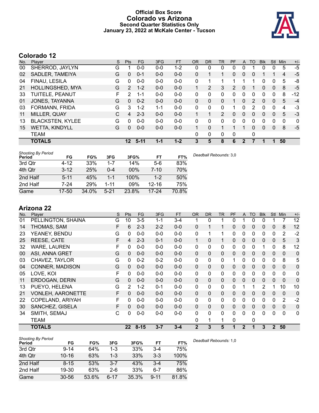### **Official Box Score Colorado vs Arizona Second Quarter Statistics Only January 23, 2022 at McKale Center - Tucson**



# **Colorado 12**

| Plaver                  | S | <b>Pts</b> | FG       | 3FG     | <b>FT</b> | <b>OR</b> | DR           | TR             | PF            |          | TO | <b>Blk</b> | Stl          | Min | $+/-$ |
|-------------------------|---|------------|----------|---------|-----------|-----------|--------------|----------------|---------------|----------|----|------------|--------------|-----|-------|
| SHERROD, JAYLYN         | G |            | $0-0$    | $0-0$   | 1-2       | 0         | 0            | 0              | 0             |          |    | 0          | 0            | 5   | $-5$  |
| SADLER, TAMEIYA         | G | 0          | $0 - 1$  | $0 - 0$ | $0 - 0$   | 0         |              | 1              | $\Omega$      | $\Omega$ | 0  |            |              | 4   | $-5$  |
| FINAU, LESILA           | G | 0          | $0 - 0$  | $0 - 0$ | $0 - 0$   | 0         |              |                | 1             |          |    | 0          | 0            | 5   | -8    |
| HOLLINGSHED, MYA        | G | 2          | $1 - 2$  | $0 - 0$ | $0 - 0$   | 1         | 2            | 3              | $\mathcal{P}$ | $\Omega$ |    | 0          | $\mathbf{0}$ | 8   | $-5$  |
| TUITELE, PEANUT         | F | 2          | $1 - 1$  | $0 - 0$ | $0 - 0$   | 0         | $\mathbf{0}$ | 0              | 0             | $\Omega$ | 0  | 0          | $\mathbf 0$  | 8   | $-12$ |
| JONES, TAYANNA          | G | $\Omega$   | $0 - 2$  | $0 - 0$ | $0 - 0$   | $\Omega$  | $\Omega$     | 0              |               | $\Omega$ | 2  | 0          | $\Omega$     | 5   | $-4$  |
| FORMANN, FRIDA          | G | 3          | $1 - 2$  | 1-1     | $0 - 0$   | 0         | $\mathbf{0}$ | 0              |               | 0        | 2  | 0          | $\mathbf 0$  | 4   | $-3$  |
| MILLER, QUAY            | C | 4          | $2 - 3$  | $0 - 0$ | $0 - 0$   | 1         |              | $\overline{2}$ | 0             | $\Omega$ | 0  | 0          | $\mathbf{0}$ | 5   | $-3$  |
| <b>BLACKSTEN, KYLEE</b> | G | 0          | $0 - 0$  | $0 - 0$ | $0 - 0$   | 0         | 0            | 0              | 0             | $\Omega$ | 0  | 0          | 0            | 0   | 0     |
| <b>WETTA, KINDYLL</b>   | G | 0          | $0 - 0$  | $0 - 0$ | $0 - 0$   | 1         | $\Omega$     | $\mathbf{1}$   | 1             |          | 0  | 0          | $\mathbf{0}$ | 8   | $-5$  |
| <b>TEAM</b>             |   |            |          |         |           | 0         | $\mathbf{0}$ | 0              | 0             |          | 0  |            |              |     |       |
| <b>TOTALS</b>           |   | $12 \,$    | $5 - 11$ | $1 - 1$ | $1 - 2$   | 3         | 5            | 8              | 6             | 2        |    |            |              | 50  |       |
|                         |   |            |          |         |           |           |              |                |               |          |    | A          |              |     |       |

| <b>Shooting By Period</b><br>Period | FG       | FG%   | 3FG      | 3FG%  | FT        | FT%   | Deadball Rebounds: 3,0 |
|-------------------------------------|----------|-------|----------|-------|-----------|-------|------------------------|
| 3rd Qtr                             | $4 - 12$ | 33%   | $1 - 7$  | 14%   | $5-6$     | 83%   |                        |
| 4th Qtr                             | $3 - 12$ | 25%   | $0 - 4$  | 00%   | 7-10      | 70%   |                        |
| 2nd Half                            | $5 - 11$ | 45%   | 1-1      | 100%  | $1-2$     | 50%   |                        |
| 2nd Half                            | $7 - 24$ | 29%   | $1 - 11$ | 09%   | $12 - 16$ | 75%   |                        |
| Game                                | 17-50    | 34.0% | $5 - 21$ | 23.8% | $17 - 24$ | 70.8% |                        |

# **Arizona 22**

| No. | Player                   | S | Pts          | <b>FG</b> | 3FG     | <b>FT</b> | <b>OR</b>    | <b>DR</b> | <b>TR</b> | PF | A            | <b>TO</b> | <b>Blk</b>   | <b>Stl</b>   | Min            | $+/-$        |
|-----|--------------------------|---|--------------|-----------|---------|-----------|--------------|-----------|-----------|----|--------------|-----------|--------------|--------------|----------------|--------------|
| 01  | PELLINGTON, SHAINA       | G | 10           | $3 - 5$   | $1 - 1$ | $3 - 4$   |              | 0         |           | 0  |              | 0         | 0            |              |                | 12           |
| 14  | THOMAS, SAM              | F | 6            | $2 - 3$   | $2 - 2$ | $0-0$     | $\Omega$     |           | 1         | 0  | 0            | 0         | 0            | 0            | 8              | 12           |
| 23  | YEANEY, BENDU            | G | $\mathbf{0}$ | $0-0$     | $0 - 0$ | $0-0$     | 0            | 1         | 1         | 0  | 0            | 0         | 0            | 0            | 2              | $-2$         |
| 25  | REESE, CATE              | F | 4            | $2 - 3$   | $0 - 1$ | $0-0$     | 1            | 0         | 1         | 0  | $\mathbf 0$  | 0         | 0            | $\mathbf 0$  | 5              | 3            |
| 32  | <b>WARE, LAUREN</b>      | F | $\mathbf{0}$ | $0-0$     | $0 - 0$ | $0-0$     | 0            | 0         | 0         | 0  | 0            | 0         | 1            | 0            | 8              | 12           |
| 00  | ASI, ANNA GRET           | G | $\Omega$     | $0 - 0$   | $0 - 0$ | $0-0$     | $\mathbf{0}$ | $\Omega$  | $\Omega$  | 0  | $\mathbf{0}$ | $\Omega$  | $\mathbf{0}$ | $\mathbf{0}$ | $\mathbf{0}$   | 0            |
| 03  | CHAVEZ, TAYLOR           | G | $\Omega$     | $0 - 2$   | $0 - 2$ | $0-0$     | 0            | 0         | 0         | 1  | 0            | 0         | 0            | $\mathbf{0}$ | 8              | 5            |
| 04  | CONNER, MADISON          | G | $\Omega$     | $0 - 0$   | $0 - 0$ | $0-0$     | $\mathbf{0}$ | 0         | 0         | 0  | $\mathbf{0}$ | 0         | 0            | $\mathbf{0}$ | $\mathbf{0}$   | $\mathbf 0$  |
| 05  | LOVE, KOI                | F | $\Omega$     | $0 - 0$   | $0 - 0$ | $0-0$     | 0            | 0         | 0         | 0  | $\mathbf{0}$ | 0         | 0            | $\mathbf{0}$ | $\mathbf{0}$   | 0            |
| 11  | ERDOGAN, DERIN           | G | 0            | $0 - 0$   | $0 - 0$ | $0-0$     | $\Omega$     | 0         | 0         | 0  | $\Omega$     | $\Omega$  | 0            | $\Omega$     | $\Omega$       | 0            |
| 13  | PUEYO, HELENA            | G | 2            | $1 - 2$   | $0 - 1$ | $0-0$     | 0            | 0         | 0         | 0  | 1            |           | 2            |              | 10             | 10           |
| 21  | <b>VONLEH, AARONETTE</b> | F | 0            | $0-0$     | $0 - 0$ | $0-0$     | $\Omega$     | $\Omega$  | 0         | 0  | 0            | 0         | 0            | $\mathbf{0}$ | $\overline{0}$ | 0            |
| 22  | COPELAND, ARIYAH         | F | $\Omega$     | $0-0$     | $0 - 0$ | $0-0$     | $\Omega$     | 0         | 0         | 0  | 0            | 0         | 0            | 0            | $\overline{2}$ | $-2$         |
| 30  | SANCHEZ, GISELA          | F | $\Omega$     | $0-0$     | $0 - 0$ | $0-0$     | $\Omega$     | $\Omega$  | 0         | 0  | $\mathbf{0}$ | 0         | 0            | $\mathbf 0$  | $\Omega$       | $\pmb{0}$    |
| 34  | SMITH, SEMAJ             | С | 0            | $0 - 0$   | $0 - 0$ | $0 - 0$   | 0            | 0         | 0         | 0  | $\Omega$     | 0         | 0            | $\Omega$     | $\Omega$       | $\mathbf{0}$ |
|     | <b>TEAM</b>              |   |              |           |         |           | 0            | 1         | 1         | 0  |              | 0         |              |              |                |              |
|     | <b>TOTALS</b>            |   | $22 \,$      | $8 - 15$  | $3 - 7$ | $3 - 4$   | $\mathbf{2}$ | 3         | 5         |    | $\mathbf 2$  |           | 3            | $\mathbf{2}$ | 50             |              |

| <b>Shooting By Period</b><br>Period | FG        | FG%   | 3FG      | 3FG%  | FT       | FT%   |
|-------------------------------------|-----------|-------|----------|-------|----------|-------|
| 3rd Qtr                             | $9 - 14$  | 64%   | 1-3      | 33%   | $3-4$    | 75%   |
| 4th Qtr                             | $10 - 16$ | 63%   | $1 - 3$  | 33%   | $3-3$    | 100%  |
| 2nd Half                            | $8 - 15$  | 53%   | $3 - 7$  | 43%   | $3-4$    | 75%   |
| 2nd Half                            | $19 - 30$ | 63%   | $2-6$    | 33%   | հ-7      | 86%   |
| Game                                | $30 - 56$ | 53.6% | $6 - 17$ | 35.3% | $9 - 11$ | 81.8% |

*Deadball Rebounds:* 1,0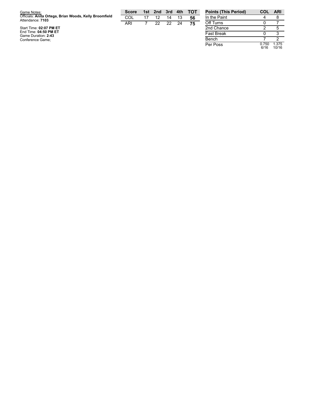| Game Notes:                                                                | <b>Score</b> | 1st 2nd 3rd 4th |    |    | тот | <b>Points (This Perio</b> |
|----------------------------------------------------------------------------|--------------|-----------------|----|----|-----|---------------------------|
| Officials: Anita Ortega, Brian Woods, Kelly Broomfield<br>Attendance: 7103 | COL          | 12              | 14 | 13 | 56  | In the Paint              |
|                                                                            | ARI          | 22              | 22 | 24 | 75  | Off Turns                 |
| Start Time: 02:07 PM ET                                                    |              |                 |    |    |     | 2nd Chance                |
| End Time: 04:50 PM ET<br>Game Duration: 2:43                               |              |                 |    |    |     | <b>Fast Break</b>         |
| Conference Game;                                                           |              |                 |    |    |     | Bench                     |

| <b>Points (This Period)</b> | COL           | <b>ARI</b>     |
|-----------------------------|---------------|----------------|
| In the Paint                |               |                |
| Off Turns                   |               |                |
| 2nd Chance                  | 2             | 5              |
| <b>Fast Break</b>           |               | ঽ              |
| Bench                       |               | 2              |
| Per Poss                    | 0.750<br>6/16 | 1.375<br>10/16 |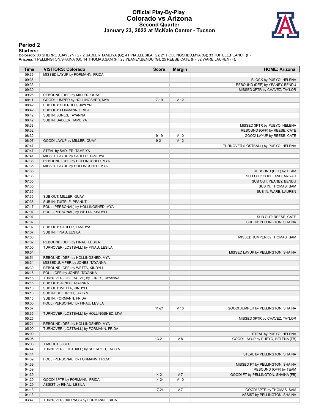#### **Official Play-By-Play Colorado vs Arizona Second Quarter January 23, 2022 at McKale Center - Tucson**



#### **Period 2**

<mark>Starters :</mark><br>Colorado: 00 SHERROD,JAYLYN (G); 2 SADLER,TAMEIYA (G); 4 FINAU,LESILA (G); 21 HOLLINGSHED,MYA (G); 33 TUITELE,PEANUT (F);<br>**Arizona**: 1 PELLINGTON,SHAINA (G); 14 THOMAS,SAM (F); 23 YEANEY,BENDU (G); 25 REESE,CA

| Time  | <b>VISITORS: Colorado</b>               | <b>Score</b> | <b>Margin</b>   | <b>HOME: Arizona</b>                 |
|-------|-----------------------------------------|--------------|-----------------|--------------------------------------|
| 09:36 | MISSED LAYUP by FORMANN, FRIDA          |              |                 |                                      |
| 09:36 |                                         |              |                 | BLOCK by PUEYO, HELENA               |
| 09:33 |                                         |              |                 | REBOUND (DEF) by YEANEY, BENDU       |
| 09:30 |                                         |              |                 | MISSED 3PTR by CHAVEZ, TAYLOR        |
| 09:26 | REBOUND (DEF) by MILLER, QUAY           |              |                 |                                      |
| 09:11 | GOOD! JUMPER by HOLLINGSHED, MYA        | $7 - 19$     | V <sub>12</sub> |                                      |
| 08:42 | SUB OUT: SHERROD, JAYLYN                |              |                 |                                      |
| 08:42 | SUB OUT: FORMANN, FRIDA                 |              |                 |                                      |
| 08:42 | SUB IN: JONES, TAYANNA                  |              |                 |                                      |
| 08:42 | SUB IN: SADLER, TAMEIYA                 |              |                 |                                      |
| 08:38 |                                         |              |                 | MISSED 3PTR by PUEYO, HELENA         |
| 08:32 |                                         |              |                 | REBOUND (OFF) by REESE, CATE         |
| 08:32 |                                         | $9 - 19$     | $V$ 10          | GOOD! LAYUP by REESE, CATE           |
| 08:07 | GOOD! LAYUP by MILLER, QUAY             | $9 - 21$     | V <sub>12</sub> |                                      |
| 07:47 |                                         |              |                 | TURNOVER (LOSTBALL) by PUEYO, HELENA |
| 07:47 | STEAL by SADLER, TAMEIYA                |              |                 |                                      |
| 07:41 | MISSED LAYUP by SADLER, TAMEIYA         |              |                 |                                      |
| 07:38 | REBOUND (OFF) by HOLLINGSHED, MYA       |              |                 |                                      |
| 07:35 | MISSED LAYUP by HOLLINGSHED, MYA        |              |                 |                                      |
| 07:35 |                                         |              |                 | REBOUND (DEF) by TEAM                |
| 07:35 |                                         |              |                 | SUB OUT: COPELAND, ARIYAH            |
|       |                                         |              |                 |                                      |
| 07:35 |                                         |              |                 | SUB OUT: YEANEY, BENDU               |
| 07:35 |                                         |              |                 | SUB IN: THOMAS, SAM                  |
| 07:35 |                                         |              |                 | SUB IN: WARE, LAUREN                 |
| 07:35 | SUB OUT: MILLER, QUAY                   |              |                 |                                      |
| 07:35 | SUB IN: TUITELE, PEANUT                 |              |                 |                                      |
| 07:17 | FOUL (PERSONAL) by HOLLINGSHED, MYA     |              |                 |                                      |
| 07:07 | FOUL (PERSONAL) by WETTA, KINDYLL       |              |                 |                                      |
| 07:07 |                                         |              |                 | SUB OUT: REESE, CATE                 |
| 07:07 |                                         |              |                 | SUB IN: PELLINGTON, SHAINA           |
| 07:07 | SUB OUT: SADLER, TAMEIYA                |              |                 |                                      |
| 07:07 | SUB IN: FINAU, LESILA                   |              |                 |                                      |
| 07:06 |                                         |              |                 | MISSED JUMPER by THOMAS, SAM         |
| 07:02 | REBOUND (DEF) by FINAU, LESILA          |              |                 |                                      |
| 07:00 | TURNOVER (LOSTBALL) by FINAU, LESILA    |              |                 |                                      |
| 06:54 |                                         |              |                 | MISSED LAYUP by PELLINGTON, SHAINA   |
| 06:51 | REBOUND (DEF) by HOLLINGSHED, MYA       |              |                 |                                      |
| 06:34 | MISSED JUMPER by JONES, TAYANNA         |              |                 |                                      |
| 06:30 | REBOUND (OFF) by WETTA, KINDYLL         |              |                 |                                      |
| 06:16 | FOUL (OFF) by JONES, TAYANNA            |              |                 |                                      |
| 06:16 | TURNOVER (OFFENSIVE) by JONES, TAYANNA  |              |                 |                                      |
| 06:16 | SUB OUT: JONES, TAYANNA                 |              |                 |                                      |
| 06:16 | SUB OUT: WETTA, KINDYLL                 |              |                 |                                      |
| 06:16 | SUB IN: SHERROD, JAYLYN                 |              |                 |                                      |
| 06:16 | SUB IN: FORMANN, FRIDA                  |              |                 |                                      |
| 06:00 | FOUL (PERSONAL) by FINAU, LESILA        |              |                 |                                      |
| 05:57 |                                         | $11 - 21$    | $V$ 10          | GOOD! JUMPER by PELLINGTON, SHAINA   |
| 05:35 | TURNOVER (LOSTBALL) by HOLLINGSHED, MYA |              |                 |                                      |
| 05:25 |                                         |              |                 | MISSED 3PTR by CHAVEZ, TAYLOR        |
| 05:21 | REBOUND (DEF) by HOLLINGSHED, MYA       |              |                 |                                      |
| 05:09 | TURNOVER (LOSTBALL) by FORMANN, FRIDA   |              |                 |                                      |
| 05:09 |                                         |              |                 | STEAL by PUEYO, HELENA               |
| 05:05 |                                         | $13 - 21$    | V8              | GOOD! LAYUP by PUEYO, HELENA [FB]    |
|       |                                         |              |                 |                                      |
| 05:03 | TIMEOUT 30SEC                           |              |                 |                                      |
| 04:44 | TURNOVER (LOSTBALL) by SHERROD, JAYLYN  |              |                 |                                      |
| 04:44 |                                         |              |                 | STEAL by PELLINGTON, SHAINA          |
| 04:39 | FOUL (PERSONAL) by FORMANN, FRIDA       |              |                 |                                      |
| 04:39 |                                         |              |                 | MISSED FT by PELLINGTON, SHAINA      |
| 04:39 |                                         |              |                 | REBOUND (OFF) by TEAM                |
| 04:39 |                                         | $14 - 21$    | V <sub>7</sub>  | GOOD! FT by PELLINGTON, SHAINA [FB]  |
| 04:29 | GOOD! 3PTR by FORMANN, FRIDA            | $14 - 24$    | $V$ 10          |                                      |
| 04:29 | ASSIST by FINAU, LESILA                 |              |                 |                                      |
| 04:13 |                                         | $17 - 24$    | V <sub>7</sub>  | GOOD! 3PTR by THOMAS, SAM            |
| 04:13 |                                         |              |                 | ASSIST by PELLINGTON, SHAINA         |
| 03:47 | TURNOVER (BADPASS) by FORMANN, FRIDA    |              |                 |                                      |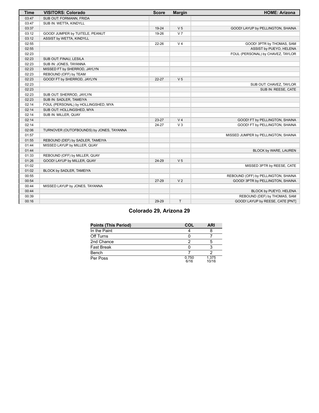| <b>Time</b> | <b>VISITORS: Colorado</b>                | <b>Score</b> | <b>Margin</b>  | <b>HOME: Arizona</b>                |
|-------------|------------------------------------------|--------------|----------------|-------------------------------------|
| 03:47       | SUB OUT: FORMANN, FRIDA                  |              |                |                                     |
| 03:47       | SUB IN: WETTA, KINDYLL                   |              |                |                                     |
| 03:37       |                                          | 19-24        | V <sub>5</sub> | GOOD! LAYUP by PELLINGTON, SHAINA   |
| 03:12       | GOOD! JUMPER by TUITELE, PEANUT          | 19-26        | V <sub>7</sub> |                                     |
| 03:12       | ASSIST by WETTA, KINDYLL                 |              |                |                                     |
| 02:55       |                                          | 22-26        | V <sub>4</sub> | GOOD! 3PTR by THOMAS, SAM           |
| 02:55       |                                          |              |                | ASSIST by PUEYO, HELENA             |
| 02:23       |                                          |              |                | FOUL (PERSONAL) by CHAVEZ, TAYLOR   |
| 02:23       | SUB OUT: FINAU, LESILA                   |              |                |                                     |
| 02:23       | SUB IN: JONES, TAYANNA                   |              |                |                                     |
| 02:23       | MISSED FT by SHERROD, JAYLYN             |              |                |                                     |
| 02:23       | REBOUND (OFF) by TEAM                    |              |                |                                     |
| 02:23       | GOOD! FT by SHERROD, JAYLYN              | $22 - 27$    | V <sub>5</sub> |                                     |
| 02:23       |                                          |              |                | SUB OUT: CHAVEZ, TAYLOR             |
| 02:23       |                                          |              |                | SUB IN: REESE, CATE                 |
| 02:23       | SUB OUT: SHERROD, JAYLYN                 |              |                |                                     |
| 02:23       | SUB IN: SADLER, TAMEIYA                  |              |                |                                     |
| 02:14       | FOUL (PERSONAL) by HOLLINGSHED, MYA      |              |                |                                     |
| 02:14       | SUB OUT: HOLLINGSHED, MYA                |              |                |                                     |
| 02:14       | SUB IN: MILLER, QUAY                     |              |                |                                     |
| 02:14       |                                          | 23-27        | V <sub>4</sub> | GOOD! FT by PELLINGTON, SHAINA      |
| 02:14       |                                          | 24-27        | $V_3$          | GOOD! FT by PELLINGTON, SHAINA      |
| 02:06       | TURNOVER (OUTOFBOUNDS) by JONES, TAYANNA |              |                |                                     |
| 01:57       |                                          |              |                | MISSED JUMPER by PELLINGTON, SHAINA |
| 01:55       | REBOUND (DEF) by SADLER, TAMEIYA         |              |                |                                     |
| 01:44       | MISSED LAYUP by MILLER, QUAY             |              |                |                                     |
| 01:44       |                                          |              |                | BLOCK by WARE, LAUREN               |
| 01:33       | REBOUND (OFF) by MILLER, QUAY            |              |                |                                     |
| 01:26       | GOOD! LAYUP by MILLER, QUAY              | 24-29        | V <sub>5</sub> |                                     |
| 01:02       |                                          |              |                | MISSED 3PTR by REESE, CATE          |
| 01:02       | BLOCK by SADLER, TAMEIYA                 |              |                |                                     |
| 00:55       |                                          |              |                | REBOUND (OFF) by PELLINGTON, SHAINA |
| 00:54       |                                          | 27-29        | V <sub>2</sub> | GOOD! 3PTR by PELLINGTON, SHAINA    |
| 00:44       | MISSED LAYUP by JONES, TAYANNA           |              |                |                                     |
| 00:44       |                                          |              |                | BLOCK by PUEYO, HELENA              |
| 00:39       |                                          |              |                | REBOUND (DEF) by THOMAS, SAM        |
| 00:16       |                                          | 29-29        | T              | GOOD! LAYUP by REESE, CATE [PNT]    |

# **Colorado 29, Arizona 29**

| <b>Points (This Period)</b> | COL           | <b>ARI</b>     |
|-----------------------------|---------------|----------------|
| In the Paint                |               |                |
| Off Turns                   |               |                |
| 2nd Chance                  |               |                |
| <b>Fast Break</b>           |               |                |
| Bench                       |               |                |
| Per Poss                    | 0.750<br>6/16 | 1.375<br>10/16 |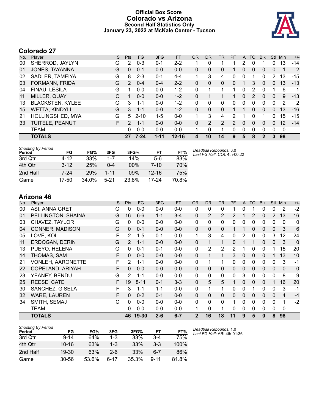### **Official Box Score Colorado vs Arizona Second Half Statistics Only January 23, 2022 at McKale Center - Tucson**



# **Colorado 27**

| No. | Plaver                  | S  | <b>Pts</b>   | <b>FG</b> | 3FG      | <b>FT</b> | <b>OR</b> | <b>DR</b> | TR       | <b>PF</b> | A        | TO             | <b>Blk</b> | Stl            | Min         | $+/-$ |
|-----|-------------------------|----|--------------|-----------|----------|-----------|-----------|-----------|----------|-----------|----------|----------------|------------|----------------|-------------|-------|
| 00  | SHERROD, JAYLYN         | G  | 2            | $0 - 3$   | $0 - 1$  | 2-2       |           | 0         |          |           | 2        |                |            | 0              | 13          | $-14$ |
| 01  | JONES, TAYANNA          | G  | $\mathbf{0}$ | $0 - 1$   | $0 - 0$  | $0 - 0$   | 0         | 0         | 0        |           | 0        | 0              | 0          | 0              | 1           | 2     |
| 02  | SADLER, TAMEIYA         | G  | 8            | $2 - 3$   | $0 - 1$  | 4-4       |           | 3         | 4        | 0         | 0        |                | 0          | $\overline{2}$ | 13          | $-15$ |
| 03  | FORMANN, FRIDA          | G  | 2            | $0 - 4$   | $0 - 4$  | $2 - 2$   | $\Omega$  | $\Omega$  | 0        | 0         |          | 3              | 0          | 0              | 13          | $-13$ |
| 04  | FINAU, LESILA           | G  | 1            | $0 - 0$   | $0 - 0$  | $1 - 2$   | $\Omega$  | 1         |          | 1         | 0        | $\overline{2}$ | 0          |                | 6           | 1     |
| 11  | MILLER, QUAY            | C  | 1            | $0 - 0$   | $0 - 0$  | $1 - 2$   | $\Omega$  |           |          |           | 0        | 2              | 0          | $\Omega$       | 9           | $-13$ |
| 13  | <b>BLACKSTEN, KYLEE</b> | G  | 3            | 1-1       | $0 - 0$  | $1 - 2$   | 0         | 0         | 0        | 0         | $\Omega$ | 0              | 0          | $\Omega$       | 2           | -2    |
| 15  | <b>WETTA, KINDYLL</b>   | G  | 3            | $1 - 1$   | $0 - 0$  | $1 - 2$   | $\Omega$  | $\Omega$  | $\Omega$ |           |          | 0              | 0          | 0              | 13          | $-16$ |
| 21  | HOLLINGSHED, MYA        | G  | 5            | $2 - 10$  | $1 - 5$  | $0 - 0$   |           | 3         | 4        | 2         |          | 0              |            | 0              | 15          | $-15$ |
| 33  | TUITELE, PEANUT         | F. | 2            | $1 - 1$   | $0 - 0$  | $0 - 0$   | $\Omega$  |           | 2        | 2         | $\Omega$ | 0              | 0          | 0              | 12          | $-14$ |
|     | <b>TEAM</b>             |    | $\Omega$     | $0 - 0$   | $0 - 0$  | $0 - 0$   |           | 0         | 1        | 0         | 0        | 0              | 0          | $\Omega$       | $\mathbf 0$ |       |
|     | <b>TOTALS</b>           |    | 27           | $7 - 24$  | $1 - 11$ | $12 - 16$ | 4         | 10        | 14       | 9         | 5        | 8              | 2          | 3              | 98          |       |

| <b>Shooting By Period</b><br>Period | FG       | FG%   | 3FG      | 3FG%   | FT        | FT%   | Deadball Rebounds: 3,0<br>Last FG Half: COL 4th-00:22 |
|-------------------------------------|----------|-------|----------|--------|-----------|-------|-------------------------------------------------------|
| 3rd Qtr                             | 4-12     | 33%   | 1-7      | 14%    | $5-6$     | 83%   |                                                       |
| 4th Otr                             | $3 - 12$ | 25%   | $0 - 4$  | $00\%$ | 7-10      | 70%   |                                                       |
| 2nd Half                            | 7-24     | 29%   | $1 - 11$ | 09%    | $12 - 16$ | 75%   |                                                       |
| Game                                | 17-50    | 34.0% | $5 - 21$ | 23.8%  | $17-24$   | 70 ጸ% |                                                       |

# **Arizona 46**

| No. | Player                   | S | Pts            | <b>FG</b> | 3FG     | <b>FT</b> | <b>OR</b>    | <b>DR</b> | <b>TR</b>      | PF | A            | <b>TO</b>    | <b>Blk</b> | Stl            | Min         | $+/-$       |
|-----|--------------------------|---|----------------|-----------|---------|-----------|--------------|-----------|----------------|----|--------------|--------------|------------|----------------|-------------|-------------|
| 00  | ASI, ANNA GRET           | G | 0              | $0 - 0$   | $0 - 0$ | $0 - 0$   | 0            | 0         | 0              |    | 0            |              | 0          | 0              | 2           | $-2$        |
| 01  | PELLINGTON, SHAINA       | G | 16             | $6-6$     | $1 - 1$ | $3 - 4$   | $\Omega$     | 2         | 2              | 2  |              | 2            | 0          | $\overline{2}$ | 13          | 16          |
| 03  | CHAVEZ, TAYLOR           | G | 0              | $0-0$     | $0 - 0$ | $0 - 0$   | 0            | 0         | 0              | 0  | 0            | 0            | 0          | 0              | 0           | 0           |
| 04  | CONNER, MADISON          | G | 0              | $0 - 1$   | $0 - 0$ | $0 - 0$   | $\Omega$     | 0         | 0              |    |              | 0            | 0          | 0              | 3           | 6           |
| 05  | LOVE, KOI                | F | $\overline{2}$ | $1 - 5$   | $0 - 1$ | $0 - 0$   | $\mathbf{1}$ | 3         | 4              | 0  | 2            | 0            | 0          | 3              | 12          | 24          |
| 11  | ERDOGAN, DERIN           | G | 2              | $1 - 1$   | $0 - 0$ | $0 - 0$   | $\Omega$     | 1         | 1              | 0  |              | 1            | 0          | 0              | 3           | $\mathbf 0$ |
| 13  | PUEYO, HELENA            | G | 0              | $0 - 1$   | $0 - 1$ | $0-0$     | 0            | 2         | $\overline{2}$ | 2  |              | $\mathbf 0$  | 0          |                | 15          | 20          |
| 14  | THOMAS, SAM              | F | $\Omega$       | $0-0$     | $0 - 0$ | $0 - 0$   | $\Omega$     | 1         | 1              | 3  | $\mathbf{0}$ | $\mathbf{0}$ | $\Omega$   |                | 13          | 10          |
| 21  | <b>VONLEH, AARONETTE</b> | F | 2              | 1-1       | $0 - 0$ | $0 - 0$   | 0            | 1         | 1              | 0  | 0            | 0            | 0          | 0              | 3           | $-1$        |
| 22  | COPELAND, ARIYAH         | F | 0              | $0 - 0$   | $0 - 0$ | $0-0$     | $\Omega$     | 0         | 0              | 0  | 0            | $\Omega$     | $\Omega$   | $\mathbf{0}$   | $\Omega$    | $\mathbf 0$ |
| 23  | YEANEY, BENDU            | G | 2              | $1 - 1$   | $0 - 0$ | $0 - 0$   | 0            | 0         | 0              | 0  | 3            | $\mathbf{0}$ | 0          | 0              | 8           | 9           |
| 25  | REESE, CATE              | F | 19             | $8 - 11$  | $0 - 1$ | $3 - 3$   | $\Omega$     | 5         | 5              |    | 0            | $\mathbf{0}$ | $\Omega$   |                | 16          | 20          |
| 30  | SANCHEZ, GISELA          | F | 3              | $1 - 1$   | $1 - 1$ | $0 - 0$   | 0            | 1         | 1              | 0  | 0            |              | 0          | 0              | 3           | $-1$        |
| 32  | <b>WARE, LAUREN</b>      | F | 0              | $0 - 2$   | $0 - 1$ | $0-0$     | $\Omega$     | 0         | 0              | 0  | 0            | $\mathbf{0}$ | $\Omega$   | $\Omega$       | 4           | $-4$        |
| 34  | SMITH, SEMAJ             | C | 0              | $0-0$     | $0 - 0$ | $0 - 0$   | $\Omega$     | 0         | $\mathbf{0}$   | 1  | 0            | $\mathbf{0}$ | 0          | $\mathbf{0}$   | 1           | $-2$        |
|     | TEAM                     |   | 0              | $0 - 0$   | $0 - 0$ | $0 - 0$   | 1            | 0         | 1              | 0  | 0            | $\Omega$     | 0          | 0              | $\mathbf 0$ |             |
|     | <b>TOTALS</b>            |   | 46             | 19-30     | $2 - 6$ | $6 - 7$   | $\mathbf{2}$ | 16        | 18             | 11 | 9            | 5            | 0          | 8              | 98          |             |

| <b>Shooting By Period</b><br>Period | FG        | FG%   | 3FG     | 3FG%  | FT       | FT%   |
|-------------------------------------|-----------|-------|---------|-------|----------|-------|
| 3rd Otr                             | $9 - 14$  | 64%   | $1 - 3$ | 33%   | $3-4$    | 75%   |
| 4th Qtr                             | $10 - 16$ | 63%   | $1 - 3$ | 33%   | $3-3$    | 100%  |
| 2nd Half                            | $19 - 30$ | 63%   | 2-6     | 33%   | 6-7      | 86%   |
| Game                                | $30 - 56$ | 53.6% | ჩ-17    | 35.3% | $9 - 11$ | 81.8% |

*Deadball Rebounds:* 1,0 *Last FG Half:* ARI 4th-01:36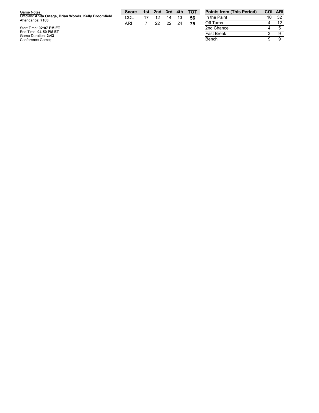| Game Notes:                                                                 | Score |    |          |    | 1st 2nd 3rd 4th TOT | <b>Points</b> |
|-----------------------------------------------------------------------------|-------|----|----------|----|---------------------|---------------|
| Officials: Anita Ortega, Brian Woods, Kelly Broomfield<br>Attendance: 7103  | COL   | 12 | 14       | 13 | 56                  | In the F      |
|                                                                             | ARI   |    | 22 22 24 |    |                     | Off Tur       |
| Start Time: 02:07 PM ET<br>$F \cdot F$ $\cdots$ $A$ $A$ $B$ $B$ $B$ $F$ $F$ |       |    |          |    |                     | 2nd Ch        |

| <b>Points from (This Period)</b> | <b>COL ARI</b> |    |
|----------------------------------|----------------|----|
| In the Paint                     | 10             | 32 |
| Off Turns                        |                | 12 |
| 2nd Chance                       |                | 5  |
| <b>Fast Break</b>                | З              |    |
| Bench                            | Q              |    |

Start Time: 02:07 PM ET<br>End Time: 04:50 PM ET<br>Game Duration: 2:43<br>Conference Game;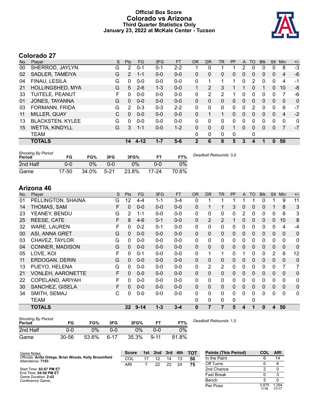### **Official Box Score Colorado vs Arizona Third Quarter Statistics Only January 23, 2022 at McKale Center - Tucson**



# **Colorado 27**

| No. | Plaver                  | S | <b>Pts</b>     | FG      | 3FG     | <b>FT</b> | <b>OR</b>   | <b>DR</b>    | TR           | PF       | A        | TO | <b>Blk</b> | <b>Stl</b>   | Min            | $+/-$    |
|-----|-------------------------|---|----------------|---------|---------|-----------|-------------|--------------|--------------|----------|----------|----|------------|--------------|----------------|----------|
| 00  | SHERROD, JAYLYN         | G | 2              | $0 - 1$ | $0 - 1$ | $2 - 2$   |             | 0            |              |          | 2        | 0  | 0          | 0            | 8              | $-3$     |
| 02  | SADLER, TAMEIYA         | G | $\overline{2}$ | $1 - 1$ | $0 - 0$ | $0 - 0$   | $\Omega$    | 0            | 0            | 0        | 0        | 0  | 0          | $\Omega$     | 4              | -6       |
| 04  | FINAU, LESILA           | G | 0              | $0 - 0$ | $0 - 0$ | $0 - 0$   | 0           |              |              | 1        | 0        | 2  | 0          | $\Omega$     | 4              | -1       |
| 21  | <b>HOLLINGSHED, MYA</b> | G | 5              | $2 - 6$ | 1-3     | $0 - 0$   | 1           | 2            | 3            |          |          | 0  | 1          | $\mathbf{0}$ | 10             | -8       |
| 33  | TUITELE, PEANUT         | F | 0              | $0 - 0$ | $0 - 0$ | $0 - 0$   | 0           | 2            | 2            |          | 0        | 0  | 0          | 0            | 7              | -6       |
| 01  | JONES, TAYANNA          | G | $\mathbf{0}$   | $0 - 0$ | $0 - 0$ | $0 - 0$   | $\Omega$    | 0            | 0            | 0        | $\Omega$ | 0  | 0          | 0            | $\Omega$       | $\Omega$ |
| 03  | FORMANN, FRIDA          | G | $\overline{2}$ | $0 - 3$ | $0 - 3$ | $2 - 2$   | 0           | 0            | 0            | 0        | 0        | 2  | 0          | 0            | 6              | $-7$     |
| 11  | MILLER, QUAY            | C | 0              | $0 - 0$ | $0 - 0$ | $0 - 0$   | $\Omega$    |              | $\mathbf{1}$ | $\Omega$ | $\Omega$ | 0  | 0          | $\Omega$     | $\overline{4}$ | $-2$     |
| 13  | <b>BLACKSTEN, KYLEE</b> | G | 0              | $0 - 0$ | $0 - 0$ | $0 - 0$   | $\Omega$    | $\Omega$     | 0            | 0        | $\Omega$ | 0  | 0          | $\Omega$     | 0              | 0        |
| 15  | <b>WETTA, KINDYLL</b>   | G | 3              | $1 - 1$ | $0 - 0$ | $1 - 2$   | $\Omega$    | $\Omega$     | 0            | 1        | $\Omega$ | 0  | 0          | $\Omega$     | 7              | $-7$     |
|     | TEAM                    |   |                |         |         |           | 0           | $\mathbf{0}$ | 0            | $\Omega$ |          | 0  |            |              |                |          |
|     | <b>TOTALS</b>           |   | 14             | 4-12    | $1 - 7$ | $5-6$     | $\mathbf 2$ | 6            | 8            | 5        | 3        | 4  |            | $\bf{0}$     | 50             |          |
|     |                         |   |                |         |         |           |             |              |              |          |          |    |            |              |                |          |

| <b>Shooting By Period</b><br>Period | FG        | FG%   | 3FG    | 3FG%  |           | FT%   | Deadball Rebounds: 3,0 |
|-------------------------------------|-----------|-------|--------|-------|-----------|-------|------------------------|
| 2nd Half                            | 0-0       | 0%    | 0-0    | $0\%$ | 0-0       | 0%    |                        |
| Game                                | $17 - 50$ | 34.0% | $5-21$ | 23.8% | $17 - 24$ | 70.8% |                        |

# **Arizona 46**

| No. | Player                   | S | Pts          | <b>FG</b> | 3FG     | <b>FT</b> | <b>OR</b>    | <b>DR</b>      | <b>TR</b>      | PF       | A            | <b>TO</b>    | <b>Blk</b>   | Stl          | Min          | $+/-$          |
|-----|--------------------------|---|--------------|-----------|---------|-----------|--------------|----------------|----------------|----------|--------------|--------------|--------------|--------------|--------------|----------------|
| 01  | PELLINGTON, SHAINA       | G | 12           | $4 - 4$   | $1 - 1$ | $3 - 4$   | 0            |                | 1              |          |              |              | 0            |              | 9            | 11             |
| 14  | THOMAS, SAM              | F | 0            | $0-0$     | $0-0$   | $0 - 0$   | $\Omega$     | 1              | 1              | 3        | 0            | 0            | 0            |              | 8            | 3              |
| 23  | YEANEY, BENDU            | G | 2            | $1 - 1$   | $0 - 0$ | $0 - 0$   | $\mathbf{0}$ | 0              | 0              | 0        | 2            | 0            | 0            | 0            | 6            | 3              |
| 25  | REESE, CATE              | F | 8            | $4-6$     | $0 - 1$ | $0-0$     | $\Omega$     | 2              | 2              |          | 0            | $\mathbf{0}$ | 0            | 0            | 10           | 8              |
| 32  | <b>WARE, LAUREN</b>      | F | $\mathbf{0}$ | $0 - 2$   | $0 - 1$ | $0-0$     | $\mathbf{0}$ | 0              | 0              | 0        | 0            | $\mathbf{0}$ | 0            | $\mathbf{0}$ | 4            | $-4$           |
| 00  | ASI, ANNA GRET           | G | 0            | $0-0$     | $0 - 0$ | $0-0$     | $\Omega$     | $\Omega$       | $\Omega$       | 0        | $\mathbf{0}$ | $\mathbf{0}$ | $\mathbf{0}$ | $\mathbf{0}$ | $\mathbf{0}$ | $\mathbf 0$    |
| 03  | CHAVEZ, TAYLOR           | G | 0            | $0 - 0$   | $0 - 0$ | $0 - 0$   | 0            | 0              | $\mathbf{0}$   | 0        | 0            | $\Omega$     | 0            | $\mathbf{0}$ | $\mathbf{0}$ | 0              |
| 04  | <b>CONNER, MADISON</b>   | G | 0            | $0 - 0$   | $0 - 0$ | $0-0$     | $\Omega$     | 0              | $\Omega$       | 0        | 0            | $\mathbf{0}$ | $\mathbf{0}$ | $\mathbf{0}$ | $\Omega$     | $\mathbf 0$    |
| 05  | LOVE, KOI                | F | 0            | $0 - 1$   | $0 - 0$ | $0 - 0$   | 0            | 1              | 1              | 0        |              | $\Omega$     | 0            | 2            | 6            | 12             |
| 11  | ERDOGAN, DERIN           | G | $\Omega$     | $0 - 0$   | $0 - 0$ | $0 - 0$   | $\Omega$     | 0              | 0              | 0        | 0            | 0            | 0            | 0            | $\Omega$     | $\mathbf 0$    |
| 13  | PUEYO, HELENA            | G | 0            | $0 - 0$   | $0 - 0$ | $0 - 0$   | 0            | $\overline{2}$ | $\overline{2}$ | 0        | 0            | $\Omega$     | 0            | 0            | 7            | $\overline{7}$ |
| 21  | <b>VONLEH, AARONETTE</b> | F | $\Omega$     | $0 - 0$   | $0 - 0$ | $0-0$     | $\Omega$     | $\Omega$       | $\Omega$       | 0        | $\Omega$     | $\mathbf{0}$ | $\mathbf{0}$ | $\mathbf{0}$ | $\mathbf{0}$ | 0              |
| 22  | COPELAND, ARIYAH         | F | 0            | $0-0$     | $0-0$   | $0-0$     | 0            | 0              | 0              | 0        | $\mathbf{0}$ | $\mathbf{0}$ | 0            | $\mathbf{0}$ | 0            | 0              |
| 30  | SANCHEZ, GISELA          | F | $\Omega$     | $0-0$     | $0 - 0$ | $0 - 0$   | $\Omega$     | $\Omega$       | 0              | $\Omega$ | $\mathbf{0}$ | $\mathbf{0}$ | $\Omega$     | $\mathbf{0}$ | $\Omega$     | 0              |
| 34  | SMITH, SEMAJ             | С | 0            | $0-0$     | $0-0$   | $0-0$     | 0            | 0              | 0              | 0        | 0            | 0            | 0            | 0            | 0            | 0              |
|     | TEAM                     |   |              |           |         |           | 0            | 0              | 0              | 0        |              | 0            |              |              |              |                |
|     | <b>TOTALS</b>            |   | 22           | $9 - 14$  | $1 - 3$ | $3 - 4$   | $\bf{0}$     | 7              | 7              | 5        | 4            |              | 0            | 4            | 50           |                |

| <b>Shooting By Period</b><br>Period | FG    | FG%   | 3FG      | 3FG%  |          | FT%   | De |
|-------------------------------------|-------|-------|----------|-------|----------|-------|----|
| 2nd Half                            | 0-0   | $0\%$ | ი-ი      | 0%    | 0-0      | 0%    |    |
| Game                                | 30-56 | 53.6% | $6 - 17$ | 35.3% | $9 - 11$ | 81.8% |    |

*Deadball Rebounds:* 1,0

| Game Notes:                                            | <b>Score</b> | 1st 2nd | 3rd | 4th | тот | <b>Points (This Period)</b> | <b>COL</b>    | <b>ARI</b>     |
|--------------------------------------------------------|--------------|---------|-----|-----|-----|-----------------------------|---------------|----------------|
| Officials: Anita Ortega, Brian Woods, Kelly Broomfield | COL          |         | 14  | 13  | 56  | In the Paint                |               | 14             |
| Attendance: 7103                                       | ARI          | 22      | 22  | 24  | 75  | Off Turns                   |               | 6              |
| Start Time: 02:07 PM ET                                |              |         |     |     |     | 2nd Chance                  |               |                |
| End Time: 04:50 PM ET<br>Game Duration: 2:43           |              |         |     |     |     | <b>Fast Break</b>           |               |                |
| Conference Game:                                       |              |         |     |     |     | Bench                       |               |                |
|                                                        |              |         |     |     |     | Per Poss                    | 0.875<br>7/16 | 1.294<br>11/17 |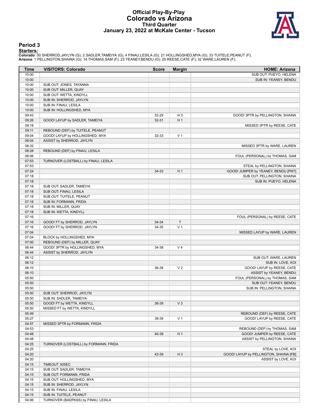#### **Official Play-By-Play Colorado vs Arizona Third Quarter January 23, 2022 at McKale Center - Tucson**



#### **Period 3**

<mark>Starters :</mark><br>Colorado: 00 SHERROD,JAYLYN (G); 2 SADLER,TAMEIYA (G); 4 FINAU,LESILA (G); 21 HOLLINGSHED,MYA (G); 33 TUITELE,PEANUT (F);<br>**Arizona**: 1 PELLINGTON,SHAINA (G); 14 THOMAS,SAM (F); 23 YEANEY,BENDU (G); 25 REESE,CA

| <b>Time</b> | <b>VISITORS: Colorado</b>             | <b>Score</b> | <b>Margin</b>  | <b>HOME: Arizona</b>                   |
|-------------|---------------------------------------|--------------|----------------|----------------------------------------|
| 10:00       |                                       |              |                | SUB OUT: PUEYO, HELENA                 |
| 10:00       |                                       |              |                | SUB IN: YEANEY, BENDU                  |
| 10:00       | SUB OUT: JONES, TAYANNA               |              |                |                                        |
| 10:00       | SUB OUT: MILLER, QUAY                 |              |                |                                        |
|             |                                       |              |                |                                        |
| 10:00       | SUB OUT: WETTA, KINDYLL               |              |                |                                        |
| 10:00       | SUB IN: SHERROD, JAYLYN               |              |                |                                        |
| 10:00       | SUB IN: FINAU, LESILA                 |              |                |                                        |
| 10:00       | SUB IN: HOLLINGSHED, MYA              |              |                |                                        |
| 09:43       |                                       | 32-29        | $H_3$          | GOOD! 3PTR by PELLINGTON, SHAINA       |
| 09:26       | GOOD! LAYUP by SADLER, TAMEIYA        | 32-31        | H <sub>1</sub> |                                        |
| 09:18       |                                       |              |                | MISSED 3PTR by REESE, CATE             |
| 09:11       | REBOUND (DEF) by TUITELE, PEANUT      |              |                |                                        |
| 09:04       | GOOD! LAYUP by HOLLINGSHED, MYA       | 32-33        | V <sub>1</sub> |                                        |
| 09:04       | ASSIST by SHERROD, JAYLYN             |              |                |                                        |
| 08:32       |                                       |              |                | MISSED 3PTR by WARE, LAUREN            |
| 08:28       | REBOUND (DEF) by FINAU, LESILA        |              |                |                                        |
| 08:06       |                                       |              |                | FOUL (PERSONAL) by THOMAS, SAM         |
| 07:53       | TURNOVER (LOSTBALL) by FINAU, LESILA  |              |                |                                        |
|             |                                       |              |                |                                        |
| 07:53       |                                       |              |                | STEAL by PELLINGTON, SHAINA            |
| 07:24       |                                       | 34-33        | H <sub>1</sub> | GOOD! JUMPER by YEANEY, BENDU [PNT]    |
| 07:18       |                                       |              |                | SUB OUT: PELLINGTON, SHAINA            |
| 07:18       |                                       |              |                | SUB IN: PUEYO, HELENA                  |
| 07:18       | SUB OUT: SADLER, TAMEIYA              |              |                |                                        |
| 07:18       | SUB OUT: FINAU, LESILA                |              |                |                                        |
| 07:18       | SUB OUT: TUITELE, PEANUT              |              |                |                                        |
| 07:18       | SUB IN: FORMANN, FRIDA                |              |                |                                        |
| 07:18       | SUB IN: MILLER, QUAY                  |              |                |                                        |
| 07:18       | SUB IN: WETTA, KINDYLL                |              |                |                                        |
| 07:16       |                                       |              |                | FOUL (PERSONAL) by REESE, CATE         |
| 07:16       | GOOD! FT by SHERROD, JAYLYN           | 34-34        | $\mathsf T$    |                                        |
| 07:16       | GOOD! FT by SHERROD, JAYLYN           | 34-35        | V <sub>1</sub> |                                        |
| 07:04       |                                       |              |                | MISSED LAYUP by WARE, LAUREN           |
|             |                                       |              |                |                                        |
| 07:04       | BLOCK by HOLLINGSHED, MYA             |              |                |                                        |
| 07:00       | REBOUND (DEF) by MILLER, QUAY         |              |                |                                        |
| 06:44       | GOOD! 3PTR by HOLLINGSHED, MYA        | 34-38        | V <sub>4</sub> |                                        |
| 06:44       | ASSIST by SHERROD, JAYLYN             |              |                |                                        |
| 06:12       |                                       |              |                | SUB OUT: WARE, LAUREN                  |
| 06:12       |                                       |              |                | SUB IN: LOVE, KOI                      |
| 06:10       |                                       | 36-38        | V <sub>2</sub> | GOOD! LAYUP by REESE, CATE             |
| 06:10       |                                       |              |                | ASSIST by YEANEY, BENDU                |
| 05:50       |                                       |              |                | FOUL (PERSONAL) by THOMAS, SAM         |
| 05:50       |                                       |              |                | SUB OUT: YEANEY, BENDU                 |
| 05:50       |                                       |              |                | SUB IN: PELLINGTON, SHAINA             |
| 05:50       | SUB OUT: SHERROD, JAYLYN              |              |                |                                        |
| 05:50       | SUB IN: SADLER. TAMEIYA               |              |                |                                        |
| 05:50       | GOOD! FT by WETTA, KINDYLL            | 36-39        | $V_3$          |                                        |
| 05:50       | MISSED FT by WETTA, KINDYLL           |              |                |                                        |
|             |                                       |              |                |                                        |
| 05:49       |                                       |              |                | REBOUND (DEF) by REESE, CATE           |
| 05:27       |                                       | 38-39        | V <sub>1</sub> | GOOD! LAYUP by REESE, CATE             |
| 04:57       | MISSED 3PTR by FORMANN, FRIDA         |              |                |                                        |
| 04:53       |                                       |              |                | REBOUND (DEF) by THOMAS, SAM           |
| 04:48       |                                       | 40-39        | H <sub>1</sub> | GOOD! JUMPER by REESE, CATE            |
| 04:48       |                                       |              |                | ASSIST by PELLINGTON, SHAINA           |
| 04:25       | TURNOVER (LOSTBALL) by FORMANN, FRIDA |              |                |                                        |
| 04:25       |                                       |              |                | STEAL by LOVE, KOI                     |
| 04:20       |                                       | 42-39        | $H_3$          | GOOD! LAYUP by PELLINGTON, SHAINA [FB] |
| 04:20       |                                       |              |                | ASSIST by LOVE, KOI                    |
| 04:15       | TIMEOUT 30SEC                         |              |                |                                        |
| 04:15       | SUB OUT: SADLER, TAMEIYA              |              |                |                                        |
| 04:15       | SUB OUT: FORMANN, FRIDA               |              |                |                                        |
|             |                                       |              |                |                                        |
| 04:15       | SUB OUT: HOLLINGSHED, MYA             |              |                |                                        |
| 04:15       | SUB IN: SHERROD, JAYLYN               |              |                |                                        |
| 04:15       | SUB IN: FINAU, LESILA                 |              |                |                                        |
| 04:15       | SUB IN: TUITELE, PEANUT               |              |                |                                        |
| 04:06       | TURNOVER (BADPASS) by FINAU, LESILA   |              |                |                                        |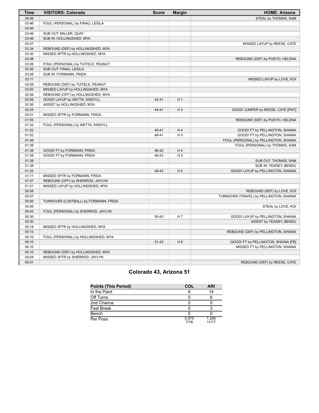| Time  | <b>VISITORS: Colorado</b>             | <b>Score</b> | Margin         | <b>HOME: Arizona</b>                    |
|-------|---------------------------------------|--------------|----------------|-----------------------------------------|
| 04:06 |                                       |              |                | STEAL by THOMAS, SAM                    |
| 03:46 | FOUL (PERSONAL) by FINAU, LESILA      |              |                |                                         |
| 03:46 |                                       |              |                |                                         |
| 03:46 | SUB OUT: MILLER, QUAY                 |              |                |                                         |
| 03:46 | SUB IN: HOLLINGSHED, MYA              |              |                |                                         |
| 03:37 |                                       |              |                | MISSED LAYUP by REESE, CATE             |
| 03:34 | REBOUND (DEF) by HOLLINGSHED, MYA     |              |                |                                         |
| 03:30 | MISSED 3PTR by HOLLINGSHED, MYA       |              |                |                                         |
| 03:26 |                                       |              |                | REBOUND (DEF) by PUEYO, HELENA          |
| 03:26 | FOUL (PERSONAL) by TUITELE, PEANUT    |              |                |                                         |
| 03:26 | SUB OUT: FINAU, LESILA                |              |                |                                         |
| 03:26 | SUB IN: FORMANN, FRIDA                |              |                |                                         |
| 03:11 |                                       |              |                | MISSED LAYUP by LOVE, KOI               |
| 03:09 | REBOUND (DEF) by TUITELE, PEANUT      |              |                |                                         |
| 03:00 | MISSED LAYUP by HOLLINGSHED, MYA      |              |                |                                         |
| 02:58 | REBOUND (OFF) by HOLLINGSHED, MYA     |              |                |                                         |
| 02:56 | GOOD! LAYUP by WETTA, KINDYLL         | 42-41        | H <sub>1</sub> |                                         |
| 02:56 | ASSIST by HOLLINGSHED, MYA            |              |                |                                         |
| 02:25 |                                       | 44-41        | $H_3$          | GOOD! JUMPER by REESE, CATE [PNT]       |
| 02:01 | MISSED 3PTR by FORMANN, FRIDA         |              |                |                                         |
| 01:55 |                                       |              |                | REBOUND (DEF) by PUEYO, HELENA          |
| 01:52 | FOUL (PERSONAL) by WETTA, KINDYLL     |              |                |                                         |
| 01:52 |                                       | 45-41        | H <sub>4</sub> | GOOD! FT by PELLINGTON, SHAINA          |
| 01:52 |                                       | 46-41        | H <sub>5</sub> | GOOD! FT by PELLINGTON, SHAINA          |
| 01:48 |                                       |              |                | FOUL (PERSONAL) by PELLINGTON, SHAINA   |
| 01:38 |                                       |              |                | FOUL (PERSONAL) by THOMAS, SAM          |
| 01:38 | GOOD! FT by FORMANN, FRIDA            | 46-42        | H4             |                                         |
| 01:38 | GOOD! FT by FORMANN, FRIDA            | 46-43        | $H_3$          |                                         |
| 01:38 |                                       |              |                | SUB OUT: THOMAS, SAM                    |
| 01:38 |                                       |              |                | SUB IN: YEANEY, BENDU                   |
| 01:22 |                                       | 48-43        | H <sub>5</sub> | GOOD! LAYUP by PELLINGTON, SHAINA       |
| 01:11 | MISSED 3PTR by FORMANN, FRIDA         |              |                |                                         |
| 01:07 | REBOUND (OFF) by SHERROD, JAYLYN      |              |                |                                         |
| 01:01 | MISSED LAYUP by HOLLINGSHED, MYA      |              |                |                                         |
| 00:58 |                                       |              |                | REBOUND (DEF) by LOVE, KOI              |
| 00:57 |                                       |              |                | TURNOVER (TRAVEL) by PELLINGTON, SHAINA |
| 00:50 | TURNOVER (LOSTBALL) by FORMANN, FRIDA |              |                |                                         |
| 00:50 |                                       |              |                | STEAL by LOVE, KOI                      |
| 00:43 | FOUL (PERSONAL) by SHERROD, JAYLYN    |              |                |                                         |
| 00:30 |                                       | 50-43        | H 7            | GOOD! LAYUP by PELLINGTON, SHAINA       |
| 00:30 |                                       |              |                | ASSIST by YEANEY, BENDU                 |
| 00:18 | MISSED 3PTR by HOLLINGSHED, MYA       |              |                |                                         |
| 00:13 |                                       |              |                | REBOUND (DEF) by PELLINGTON, SHAINA     |
| 00:10 | FOUL (PERSONAL) by HOLLINGSHED, MYA   |              |                |                                         |
| 00:10 |                                       | 51-43        | H8             | GOOD! FT by PELLINGTON, SHAINA [FB]     |
| 00:10 |                                       |              |                | MISSED FT by PELLINGTON, SHAINA         |
| 00:10 | REBOUND (DEF) by HOLLINGSHED, MYA     |              |                |                                         |
| 00:04 | MISSED 3PTR by SHERROD, JAYLYN        |              |                |                                         |
| 00:01 |                                       |              |                | REBOUND (DEF) by REESE, CATE            |

# **Colorado 43, Arizona 51**

| <b>Points (This Period)</b> | COL           | <b>ARI</b>     |
|-----------------------------|---------------|----------------|
| In the Paint                |               | 14             |
| Off Turns                   |               |                |
| 2nd Chance                  |               |                |
| <b>Fast Break</b>           |               |                |
| Bench                       |               |                |
| Per Poss                    | 0.875<br>7/16 | 1.294<br>11/17 |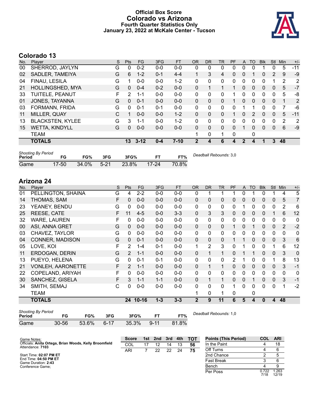### **Official Box Score Colorado vs Arizona Fourth Quarter Statistics Only January 23, 2022 at McKale Center - Tucson**



# **Colorado 13**

| No. | Plaver                  | S  | <b>Pts</b> | <b>FG</b> | 3FG     | <b>FT</b> | 0R             | DR       | TR           | PF | A            | TO       | <b>B</b> lk | Stl          | Min | $+/-$          |
|-----|-------------------------|----|------------|-----------|---------|-----------|----------------|----------|--------------|----|--------------|----------|-------------|--------------|-----|----------------|
| 00  | SHERROD, JAYLYN         | G  | 0          | $0 - 2$   | $0 - 0$ | $0-0$     | 0              | 0        | 0            | 0  | 0            |          |             | 0            | 5   | $-11$          |
| 02  | SADLER, TAMEIYA         | G  | 6          | $1 - 2$   | $0 - 1$ | $4 - 4$   |                | 3        | 4            | 0  | 0            |          | 0           | 2            | 9   | $-9$           |
| 04  | FINAU, LESILA           | G  |            | $0-0$     | $0 - 0$ | $1 - 2$   | 0              | 0        | 0            | 0  | 0            | 0        | 0           |              | 2   | $\overline{2}$ |
| 21  | <b>HOLLINGSHED, MYA</b> | G  | $\Omega$   | $0 - 4$   | $0 - 2$ | $0 - 0$   | 0              |          |              |    | 0            | $\Omega$ | 0           | $\mathbf{0}$ | 5   | $-7$           |
| 33  | TUITELE, PEANUT         | F. | 2          | $1 - 1$   | $0 - 0$ | $0 - 0$   | 0              | 0        | 0            |    | 0            | 0        | 0           | 0            | 5   | -8             |
| 01  | JONES, TAYANNA          | G  | 0          | $0 - 1$   | $0 - 0$ | $0 - 0$   | $\Omega$       | $\Omega$ | 0            |    | 0            | $\Omega$ | 0           | $\Omega$     |     | 2              |
| 03  | FORMANN, FRIDA          | G  | 0          | $0 - 1$   | $0 - 1$ | $0-0$     | $\Omega$       | 0        | $\mathbf{0}$ | 0  |              |          | 0           | $\Omega$     | 7   | $-6$           |
| 11  | MILLER, QUAY            | C  | 1          | $0 - 0$   | $0 - 0$ | $1 - 2$   | $\Omega$       | $\Omega$ | $\Omega$     | 1  | 0            | 2        | 0           | $\Omega$     | 5   | $-11$          |
| 13  | <b>BLACKSTEN, KYLEE</b> | G  | 3          | $1 - 1$   | $0 - 0$ | $1 - 2$   | 0              | 0        | 0            | 0  | 0            | $\Omega$ | 0           | 0            | 2   | $\overline{2}$ |
| 15  | <b>WETTA, KINDYLL</b>   | G  | 0          | $0 - 0$   | $0 - 0$ | $0 - 0$   | $\Omega$       | $\Omega$ | 0            | 0  |              | $\Omega$ | 0           | 0            | 6   | $-9$           |
|     | <b>TEAM</b>             |    |            |           |         |           | 1              | 0        | ◢            | 0  |              | 0        |             |              |     |                |
|     | <b>TOTALS</b>           |    | 13         | $3 - 12$  | $0 - 4$ | $7 - 10$  | $\overline{2}$ | 4        | 6            | 4  | $\mathbf{2}$ | 4        | 1           | 3            | 48  |                |
|     |                         |    |            |           |         |           |                |          |              |    |              |          |             |              |     |                |

| <b>Shooting By Period</b><br>Period | FG        | FG%   | 3FG      | 3FG%  |           | FT%   | Deadball Rebounds: 3,0 |
|-------------------------------------|-----------|-------|----------|-------|-----------|-------|------------------------|
| Game                                | $17 - 50$ | 34.0% | $5 - 21$ | 23.8% | $17 - 24$ | 70.8% |                        |

# **Arizona 24**

| No. | Player                   | S | Pts           | FG.       | 3FG     | <b>FT</b> | <b>OR</b>    | <b>DR</b>      | <b>TR</b>    | PF | A           | <b>TO</b>    | <b>Blk</b>   | <b>Stl</b>   | Min | $+/-$          |
|-----|--------------------------|---|---------------|-----------|---------|-----------|--------------|----------------|--------------|----|-------------|--------------|--------------|--------------|-----|----------------|
| 01  | PELLINGTON, SHAINA       | G | 4             | $2 - 2$   | $0-0$   | $0-0$     | 0            |                |              |    | 0           |              | 0            |              | 4   | 5              |
| 14  | THOMAS, SAM              | F | $\Omega$      | $0 - 0$   | $0 - 0$ | $0 - 0$   | $\Omega$     | 0              | 0            | 0  | 0           | 0            | $\Omega$     | $\mathbf{0}$ | 5   | 7              |
| 23  | YEANEY, BENDU            | G | 0             | $0 - 0$   | $0 - 0$ | $0-0$     | 0            | 0              | 0            | 0  |             | 0            | 0            | 0            | 2   | 6              |
| 25  | REESE, CATE              | F | 11            | $4 - 5$   | $0 - 0$ | $3 - 3$   | $\Omega$     | 3              | 3            | 0  | $\mathbf 0$ | 0            | 0            |              | 6   | 12             |
| 32  | <b>WARE, LAUREN</b>      | F | $\mathbf{0}$  | $0 - 0$   | $0 - 0$ | $0-0$     | 0            | 0              | 0            | 0  | 0           | 0            | 0            | 0            | 0   | 0              |
| 00  | ASI, ANNA GRET           | G | $\mathbf{0}$  | $0 - 0$   | $0 - 0$ | $0-0$     | $\Omega$     | 0              | $\mathbf 0$  | 1  | 0           |              | $\Omega$     | $\mathbf{0}$ | 2   | $-2$           |
| 03  | CHAVEZ, TAYLOR           | G | $\mathbf{0}$  | $0-0$     | $0-0$   | $0-0$     | 0            | 0              | 0            | 0  | 0           | 0            | 0            | 0            | 0   | 0              |
| 04  | <b>CONNER, MADISON</b>   | G | $\Omega$      | $0 - 1$   | $0 - 0$ | $0-0$     | $\Omega$     | 0              | $\Omega$     | 1  | 1           | $\mathbf{0}$ | $\mathbf{0}$ | $\mathbf{0}$ | 3   | 6              |
| 05  | LOVE, KOI                | F | 2             | $1 - 4$   | $0 - 1$ | $0-0$     | $\mathbf{1}$ | $\overline{2}$ | 3            | 0  |             | $\mathbf{0}$ | 0            |              | 6   | 12             |
| 11  | ERDOGAN, DERIN           | G | 2             | $1 - 1$   | $0 - 0$ | $0 - 0$   | $\Omega$     | 1              | $\mathbf{1}$ | 0  |             | 1            | $\Omega$     | $\mathbf{0}$ | 3   | $\overline{0}$ |
| 13  | PUEYO, HELENA            | G | $\Omega$      | $0 - 1$   | $0 - 1$ | $0-0$     | 0            | 0              | $\mathbf{0}$ | 2  |             | $\Omega$     | 0            |              | 8   | 13             |
| 21  | <b>VONLEH, AARONETTE</b> | F | $\mathcal{P}$ | $1 - 1$   | $0 - 0$ | $0-0$     | 0            | 1              | 1            | 0  | 0           | $\mathbf{0}$ | $\Omega$     | $\mathbf{0}$ | 3   | $-1$           |
| 22  | COPELAND, ARIYAH         | F | 0             | $0 - 0$   | $0 - 0$ | $0-0$     | 0            | 0              | $\mathbf{0}$ | 0  | 0           | $\Omega$     | 0            | 0            | 0   | 0              |
| 30  | SANCHEZ, GISELA          | F | 3             | $1 - 1$   | $1 - 1$ | $0 - 0$   | 0            | 1              | 1            | 0  | $\Omega$    | 1            | 0            | $\Omega$     | 3   | $-1$           |
| 34  | SMITH, SEMAJ             | С | 0             | $0 - 0$   | $0 - 0$ | $0 - 0$   | 0            | 0              | $\Omega$     | 1  | 0           | $\Omega$     | 0            | $\Omega$     | 1   | $-2$           |
|     | TEAM                     |   |               |           |         |           |              | 0              | 1            | 0  |             | 0            |              |              |     |                |
|     | <b>TOTALS</b>            |   | 24            | $10 - 16$ | $1 - 3$ | $3 - 3$   | $\mathbf{2}$ | 9              | 11           | 6  | 5           | 4            | $\bf{0}$     | 4            | 48  |                |

| <b>Shooting By Period</b><br>Period | FG        | FG%   | 3FG      | 3FG%  |          | FT%   | Deadball Rebounds: 1,0 |
|-------------------------------------|-----------|-------|----------|-------|----------|-------|------------------------|
| Game                                | $30 - 56$ | 53.6% | $6 - 17$ | 35.3% | $9 - 11$ | 81.8% |                        |

| <b>Points (This Period)</b> | COL           | <b>ARI</b>     |
|-----------------------------|---------------|----------------|
| In the Paint                |               | 18             |
| Off Turns                   |               | հ              |
| 2nd Chance                  | 2             | 5              |
| <b>Fast Break</b>           | З             |                |
| Bench                       |               |                |
| Per Poss                    | 0.722<br>7/18 | 1.263<br>12/19 |

| Game Notes:                                                                | <b>Score</b> | 1st 2nd 3rd |    | 4th | <b>TOT</b> | <b>Points (This Period)</b> | COL           | <b>ARI</b>    |
|----------------------------------------------------------------------------|--------------|-------------|----|-----|------------|-----------------------------|---------------|---------------|
| Officials: Anita Ortega, Brian Woods, Kelly Broomfield<br>Attendance: 7103 | COL          |             | 14 | 13  | 56         | In the Paint                |               | 18            |
|                                                                            | ARI          | 22          | 22 | 24  | 75         | Off Turns                   |               |               |
| Start Time: 02:07 PM ET                                                    |              |             |    |     |            | 2nd Chance                  |               |               |
| End Time: 04:50 PM ET<br>Game Duration: 2:43                               |              |             |    |     |            | <b>Fast Break</b>           |               |               |
| Conference Game:                                                           |              |             |    |     |            | Bench                       |               |               |
|                                                                            |              |             |    |     |            | Per Poss                    | 0.722<br>7/19 | .263<br>12/10 |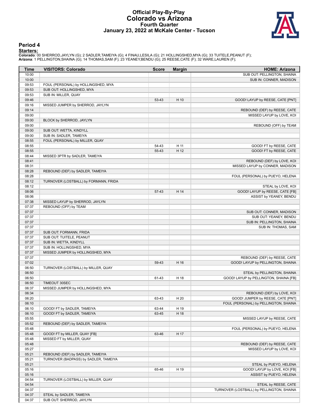#### **Official Play-By-Play Colorado vs Arizona Fourth Quarter January 23, 2022 at McKale Center - Tucson**



#### **Period 4**

<mark>Starters :</mark><br>Colorado: 00 SHERROD,JAYLYN (G); 2 SADLER,TAMEIYA (G); 4 FINAU,LESILA (G); 21 HOLLINGSHED,MYA (G); 33 TUITELE,PEANUT (F);<br>**Arizona**: 1 PELLINGTON,SHAINA (G); 14 THOMAS,SAM (F); 23 YEANEY,BENDU (G); 25 REESE,CA

| Time           | <b>VISITORS: Colorado</b>                          | <b>Score</b> | <b>Margin</b> | <b>HOME: Arizona</b>                                                  |
|----------------|----------------------------------------------------|--------------|---------------|-----------------------------------------------------------------------|
| 10:00          |                                                    |              |               | SUB OUT: PELLINGTON, SHAINA                                           |
| 10:00          |                                                    |              |               | SUB IN: CONNER, MADISON                                               |
| 09:53          | FOUL (PERSONAL) by HOLLINGSHED, MYA                |              |               |                                                                       |
| 09:53          | SUB OUT: HOLLINGSHED, MYA                          |              |               |                                                                       |
| 09:53          | SUB IN: MILLER, QUAY                               |              |               |                                                                       |
| 09:46          |                                                    | 53-43        | H 10          | GOOD! LAYUP by REESE, CATE [PNT]                                      |
| 09:16          | MISSED JUMPER by SHERROD, JAYLYN                   |              |               |                                                                       |
| 09:14          |                                                    |              |               | REBOUND (DEF) by REESE, CATE                                          |
| 09:00<br>09:00 | BLOCK by SHERROD, JAYLYN                           |              |               | MISSED LAYUP by LOVE, KOI                                             |
| 09:00          |                                                    |              |               | REBOUND (OFF) by TEAM                                                 |
| 09:00          | SUB OUT: WETTA, KINDYLL                            |              |               |                                                                       |
| 09:00          | SUB IN: SADLER, TAMEIYA                            |              |               |                                                                       |
| 08:55          | FOUL (PERSONAL) by MILLER, QUAY                    |              |               |                                                                       |
| 08:55          |                                                    | 54-43        | H 11          | GOOD! FT by REESE, CATE                                               |
| 08:55          |                                                    | 55-43        | H 12          | GOOD! FT by REESE, CATE                                               |
| 08:44          | MISSED 3PTR by SADLER, TAMEIYA                     |              |               |                                                                       |
| 08:41          |                                                    |              |               | REBOUND (DEF) by LOVE, KOI                                            |
| 08:31          |                                                    |              |               | MISSED LAYUP by CONNER, MADISON                                       |
| 08:28          | REBOUND (DEF) by SADLER, TAMEIYA                   |              |               |                                                                       |
| 08:28          |                                                    |              |               | FOUL (PERSONAL) by PUEYO, HELENA                                      |
| 08:12          | TURNOVER (LOSTBALL) by FORMANN, FRIDA              |              |               |                                                                       |
| 08:12          |                                                    |              |               | STEAL by LOVE, KOI                                                    |
| 08:06          |                                                    | 57-43        | H 14          | GOOD! LAYUP by REESE, CATE [FB]                                       |
| 08:06          |                                                    |              |               | ASSIST by YEANEY, BENDU                                               |
| 07:38          | MISSED LAYUP by SHERROD, JAYLYN                    |              |               |                                                                       |
| 07:37          | REBOUND (OFF) by TEAM                              |              |               |                                                                       |
| 07:37          |                                                    |              |               | SUB OUT: CONNER, MADISON                                              |
| 07:37          |                                                    |              |               | SUB OUT: YEANEY, BENDU                                                |
| 07:37          |                                                    |              |               | SUB IN: PELLINGTON, SHAINA                                            |
| 07:37          |                                                    |              |               | SUB IN: THOMAS, SAM                                                   |
| 07:37          | SUB OUT: FORMANN, FRIDA                            |              |               |                                                                       |
| 07:37          | SUB OUT: TUITELE, PEANUT                           |              |               |                                                                       |
| 07:37          | SUB IN: WETTA, KINDYLL                             |              |               |                                                                       |
| 07:37          | SUB IN: HOLLINGSHED, MYA                           |              |               |                                                                       |
| 07:37          | MISSED JUMPER by HOLLINGSHED, MYA                  |              |               |                                                                       |
| 07:37          |                                                    |              |               | REBOUND (DEF) by REESE, CATE                                          |
| 07:02          |                                                    | 59-43        | H 16          | GOOD! LAYUP by PELLINGTON, SHAINA                                     |
| 06:50          | TURNOVER (LOSTBALL) by MILLER, QUAY                |              |               |                                                                       |
| 06:50          |                                                    |              |               | STEAL by PELLINGTON, SHAINA<br>GOOD! LAYUP by PELLINGTON, SHAINA [FB] |
| 06:50          |                                                    | 61-43        | H 18          |                                                                       |
| 06:50<br>06:37 | TIMEOUT 30SEC<br>MISSED JUMPER by HOLLINGSHED, MYA |              |               |                                                                       |
| 06:34          |                                                    |              |               | REBOUND (DEF) by LOVE, KOI                                            |
| 06:20          |                                                    | 63-43        | H 20          | GOOD! JUMPER by REESE, CATE [PNT]                                     |
| 06:10          |                                                    |              |               | FOUL (PERSONAL) by PELLINGTON, SHAINA                                 |
| 06:10          | GOOD! FT by SADLER, TAMEIYA                        | 63-44        | H 19          |                                                                       |
| 06:10          | GOOD! FT by SADLER, TAMEIYA                        | 63-45        | H 18          |                                                                       |
| 05:55          |                                                    |              |               | MISSED LAYUP by REESE, CATE                                           |
| 05:52          | REBOUND (DEF) by SADLER, TAMEIYA                   |              |               |                                                                       |
| 05:48          |                                                    |              |               | FOUL (PERSONAL) by PUEYO, HELENA                                      |
| 05:48          | GOOD! FT by MILLER, QUAY [FB]                      | 63-46        | H 17          |                                                                       |
| 05:48          | MISSED FT by MILLER, QUAY                          |              |               |                                                                       |
| 05:48          |                                                    |              |               | REBOUND (DEF) by REESE, CATE                                          |
| 05:27          |                                                    |              |               | MISSED LAYUP by LOVE, KOI                                             |
| 05:21          | REBOUND (DEF) by SADLER, TAMEIYA                   |              |               |                                                                       |
| 05:21          | TURNOVER (BADPASS) by SADLER, TAMEIYA              |              |               |                                                                       |
| 05:21          |                                                    |              |               | STEAL by PUEYO, HELENA                                                |
| 05:16          |                                                    | 65-46        | H 19          | GOOD! LAYUP by LOVE, KOI [FB]                                         |
| 05:16          |                                                    |              |               | ASSIST by PUEYO, HELENA                                               |
| 04:54          | TURNOVER (LOSTBALL) by MILLER, QUAY                |              |               |                                                                       |
| 04:54          |                                                    |              |               | STEAL by REESE, CATE                                                  |
| 04:37          |                                                    |              |               | TURNOVER (LOSTBALL) by PELLINGTON, SHAINA                             |
| 04:37          | STEAL by SADLER, TAMEIYA                           |              |               |                                                                       |
| 04:37          | SUB OUT: SHERROD, JAYLYN                           |              |               |                                                                       |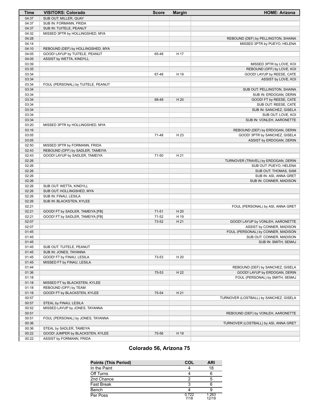| Time  | <b>VISITORS: Colorado</b>          | <b>Score</b> | <b>Margin</b> | <b>HOME: Arizona</b>                   |
|-------|------------------------------------|--------------|---------------|----------------------------------------|
| 04:37 | SUB OUT: MILLER, QUAY              |              |               |                                        |
| 04:37 | SUB IN: FORMANN, FRIDA             |              |               |                                        |
| 04:37 | SUB IN: TUITELE, PEANUT            |              |               |                                        |
| 04:32 | MISSED 3PTR by HOLLINGSHED, MYA    |              |               |                                        |
| 04:28 |                                    |              |               | REBOUND (DEF) by PELLINGTON, SHAINA    |
| 04:14 |                                    |              |               | MISSED 3PTR by PUEYO, HELENA           |
| 04:10 | REBOUND (DEF) by HOLLINGSHED, MYA  |              |               |                                        |
| 04:05 | GOOD! LAYUP by TUITELE, PEANUT     | 65-48        | H 17          |                                        |
| 04:05 | ASSIST by WETTA, KINDYLL           |              |               |                                        |
| 03:39 |                                    |              |               | MISSED 3PTR by LOVE, KOI               |
| 03:35 |                                    |              |               | REBOUND (OFF) by LOVE, KOI             |
| 03:34 |                                    | 67-48        | H 19          | GOOD! LAYUP by REESE, CATE             |
| 03:34 |                                    |              |               | ASSIST by LOVE, KOI                    |
| 03:34 | FOUL (PERSONAL) by TUITELE, PEANUT |              |               |                                        |
| 03:34 |                                    |              |               | SUB OUT: PELLINGTON, SHAINA            |
|       |                                    |              |               |                                        |
| 03:34 |                                    |              |               | SUB IN: ERDOGAN, DERIN                 |
| 03:34 |                                    | 68-48        | H 20          | GOOD! FT by REESE, CATE                |
| 03:34 |                                    |              |               | SUB OUT: REESE, CATE                   |
| 03:34 |                                    |              |               | SUB IN: SANCHEZ, GISELA                |
| 03:34 |                                    |              |               | SUB OUT: LOVE, KOI                     |
| 03:34 |                                    |              |               | SUB IN: VONLEH, AARONETTE              |
| 03:20 | MISSED 3PTR by HOLLINGSHED, MYA    |              |               |                                        |
| 03:16 |                                    |              |               | REBOUND (DEF) by ERDOGAN, DERIN        |
| 03:05 |                                    | 71-48        | H 23          | GOOD! 3PTR by SANCHEZ, GISELA          |
| 03:05 |                                    |              |               | ASSIST by ERDOGAN, DERIN               |
| 02:50 | MISSED 3PTR by FORMANN, FRIDA      |              |               |                                        |
| 02:43 | REBOUND (OFF) by SADLER, TAMEIYA   |              |               |                                        |
| 02:43 | GOOD! LAYUP by SADLER, TAMEIYA     | 71-50        | H 21          |                                        |
| 02:26 |                                    |              |               | TURNOVER (TRAVEL) by ERDOGAN, DERIN    |
| 02:26 |                                    |              |               | SUB OUT: PUEYO, HELENA                 |
| 02:26 |                                    |              |               | SUB OUT: THOMAS, SAM                   |
| 02:26 |                                    |              |               | SUB IN: ASI, ANNA GRET                 |
| 02:26 |                                    |              |               | SUB IN: CONNER, MADISON                |
| 02:26 | SUB OUT: WETTA, KINDYLL            |              |               |                                        |
| 02:26 | SUB OUT: HOLLINGSHED, MYA          |              |               |                                        |
| 02:26 | SUB IN: FINAU, LESILA              |              |               |                                        |
| 02:26 | SUB IN: BLACKSTEN, KYLEE           |              |               |                                        |
| 02:21 |                                    |              |               | FOUL (PERSONAL) by ASI, ANNA GRET      |
| 02:21 | GOOD! FT by SADLER, TAMEIYA [FB]   | $71 - 51$    | H 20          |                                        |
| 02:21 | GOOD! FT by SADLER, TAMEIYA [FB]   | 71-52        | H 19          |                                        |
| 02:07 |                                    | 73-52        | H 21          | GOOD! LAYUP by VONLEH, AARONETTE       |
| 02:07 |                                    |              |               | ASSIST by CONNER, MADISON              |
| 01:45 |                                    |              |               | FOUL (PERSONAL) by CONNER, MADISON     |
| 01:45 |                                    |              |               | SUB OUT: CONNER, MADISON               |
| 01:45 |                                    |              |               | SUB IN: SMITH, SEMAJ                   |
| 01:45 | SUB OUT: TUITELE, PEANUT           |              |               |                                        |
| 01:45 | SUB IN: JONES, TAYANNA             |              |               |                                        |
| 01:45 | GOOD! FT by FINAU, LESILA          | 73-53        | H 20          |                                        |
| 01:45 | MISSED FT by FINAU, LESILA         |              |               |                                        |
| 01:44 |                                    |              |               | REBOUND (DEF) by SANCHEZ, GISELA       |
|       |                                    |              |               | GOOD! LAYUP by ERDOGAN, DERIN          |
| 01:36 |                                    | 75-53        | H 22          |                                        |
| 01:18 |                                    |              |               | FOUL (PERSONAL) by SMITH, SEMAJ        |
| 01:18 | MISSED FT by BLACKSTEN, KYLEE      |              |               |                                        |
| 01:18 | REBOUND (OFF) by TEAM              |              |               |                                        |
| 01:18 | GOOD! FT by BLACKSTEN, KYLEE       | 75-54        | H 21          |                                        |
| 00:57 |                                    |              |               | TURNOVER (LOSTBALL) by SANCHEZ, GISELA |
| 00:57 | STEAL by FINAU, LESILA             |              |               |                                        |
| 00:52 | MISSED LAYUP by JONES, TAYANNA     |              |               |                                        |
| 00:51 |                                    |              |               | REBOUND (DEF) by VONLEH, AARONETTE     |
| 00:51 | FOUL (PERSONAL) by JONES, TAYANNA  |              |               |                                        |
| 00:36 |                                    |              |               | TURNOVER (LOSTBALL) by ASI, ANNA GRET  |
| 00:36 | STEAL by SADLER, TAMEIYA           |              |               |                                        |
| 00:22 | GOOD! JUMPER by BLACKSTEN, KYLEE   | 75-56        | H 19          |                                        |
| 00:22 | ASSIST by FORMANN, FRIDA           |              |               |                                        |
|       |                                    |              |               |                                        |

# **Colorado 56, Arizona 75**

| <b>Points (This Period)</b> | COL           | <b>ARI</b>     |
|-----------------------------|---------------|----------------|
| In the Paint                |               | 18             |
| Off Turns                   |               |                |
| 2nd Chance                  |               |                |
| <b>Fast Break</b>           |               |                |
| Bench                       |               |                |
| Per Poss                    | 0.722<br>7/18 | 1.263<br>12/19 |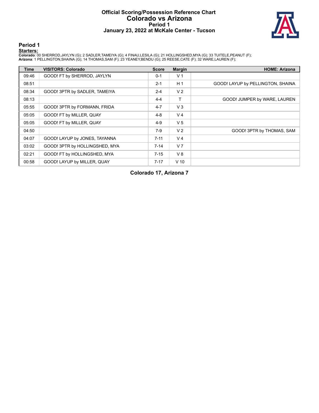#### **Official Scoring/Possession Reference Chart Colorado vs Arizona Period 1 January 23, 2022 at McKale Center - Tucson**



### **Period 1**

<mark>Starters :</mark><br>Colorado: 00 SHERROD,JAYLYN (G); 2 SADLER,TAMEIYA (G); 4 FINAU,LESILA (G); 21 HOLLINGSHED,MYA (G); 33 TUITELE,PEANUT (F);<br>**Arizona**: 1 PELLINGTON,SHAINA (G); 14 THOMAS,SAM (F); 23 YEANEY,BENDU (G); 25 REESE,CA

| Time  | <b>VISITORS: Colorado</b>      | <b>Score</b> | <b>Margin</b>  | <b>HOME: Arizona</b>              |
|-------|--------------------------------|--------------|----------------|-----------------------------------|
| 09:46 | GOOD! FT by SHERROD, JAYLYN    | $0 - 1$      | V <sub>1</sub> |                                   |
| 08:51 |                                | $2 - 1$      | H <sub>1</sub> | GOOD! LAYUP by PELLINGTON, SHAINA |
| 08:34 | GOOD! 3PTR by SADLER, TAMEIYA  | $2 - 4$      | V <sub>2</sub> |                                   |
| 08:13 |                                | $4 - 4$      | т              | GOOD! JUMPER by WARE, LAUREN      |
| 05:55 | GOOD! 3PTR by FORMANN, FRIDA   | $4 - 7$      | $V_3$          |                                   |
| 05:05 | GOOD! FT by MILLER, QUAY       | $4 - 8$      | V <sub>4</sub> |                                   |
| 05:05 | GOOD! FT by MILLER, QUAY       | $4 - 9$      | V <sub>5</sub> |                                   |
| 04:50 |                                | $7-9$        | V <sub>2</sub> | GOOD! 3PTR by THOMAS, SAM         |
| 04:07 | GOOD! LAYUP by JONES, TAYANNA  | $7 - 11$     | V <sub>4</sub> |                                   |
| 03:02 | GOOD! 3PTR by HOLLINGSHED, MYA | $7 - 14$     | V <sub>7</sub> |                                   |
| 02:21 | GOOD! FT by HOLLINGSHED, MYA   | $7 - 15$     | V8             |                                   |
| 00:58 | GOOD! LAYUP by MILLER, QUAY    | $7 - 17$     | $V$ 10         |                                   |

**Colorado 17, Arizona 7**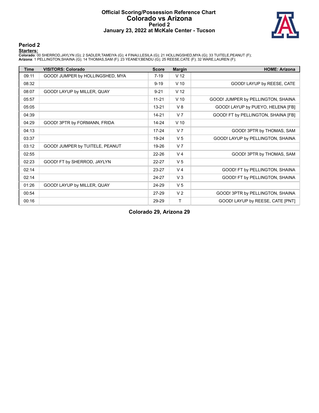#### **Official Scoring/Possession Reference Chart Colorado vs Arizona Period 2 January 23, 2022 at McKale Center - Tucson**



### **Period 2**

<mark>Starters :</mark><br>Colorado: 00 SHERROD,JAYLYN (G); 2 SADLER,TAMEIYA (G); 4 FINAU,LESILA (G); 21 HOLLINGSHED,MYA (G); 33 TUITELE,PEANUT (F);<br>**Arizona**: 1 PELLINGTON,SHAINA (G); 14 THOMAS,SAM (F); 23 YEANEY,BENDU (G); 25 REESE,CA

| <b>Time</b> | <b>VISITORS: Colorado</b>        | <b>Score</b> | <b>Margin</b>   | <b>HOME: Arizona</b>                |
|-------------|----------------------------------|--------------|-----------------|-------------------------------------|
| 09:11       | GOOD! JUMPER by HOLLINGSHED, MYA | $7 - 19$     | V <sub>12</sub> |                                     |
| 08:32       |                                  | $9 - 19$     | $V$ 10          | GOOD! LAYUP by REESE, CATE          |
| 08:07       | GOOD! LAYUP by MILLER, QUAY      | $9 - 21$     | V <sub>12</sub> |                                     |
| 05:57       |                                  | $11 - 21$    | $V$ 10          | GOOD! JUMPER by PELLINGTON, SHAINA  |
| 05:05       |                                  | $13 - 21$    | V8              | GOOD! LAYUP by PUEYO, HELENA [FB]   |
| 04:39       |                                  | $14 - 21$    | V <sub>7</sub>  | GOOD! FT by PELLINGTON, SHAINA [FB] |
| 04:29       | GOOD! 3PTR by FORMANN, FRIDA     | $14 - 24$    | $V$ 10          |                                     |
| 04:13       |                                  | $17 - 24$    | V <sub>7</sub>  | GOOD! 3PTR by THOMAS, SAM           |
| 03:37       |                                  | 19-24        | V <sub>5</sub>  | GOOD! LAYUP by PELLINGTON, SHAINA   |
| 03:12       | GOOD! JUMPER by TUITELE, PEANUT  | 19-26        | V <sub>7</sub>  |                                     |
| 02:55       |                                  | 22-26        | V <sub>4</sub>  | GOOD! 3PTR by THOMAS, SAM           |
| 02:23       | GOOD! FT by SHERROD, JAYLYN      | $22 - 27$    | V <sub>5</sub>  |                                     |
| 02:14       |                                  | 23-27        | V <sub>4</sub>  | GOOD! FT by PELLINGTON, SHAINA      |
| 02:14       |                                  | 24-27        | $V_3$           | GOOD! FT by PELLINGTON, SHAINA      |
| 01:26       | GOOD! LAYUP by MILLER, QUAY      | 24-29        | V <sub>5</sub>  |                                     |
| 00:54       |                                  | 27-29        | V <sub>2</sub>  | GOOD! 3PTR by PELLINGTON, SHAINA    |
| 00:16       |                                  | 29-29        | T               | GOOD! LAYUP by REESE, CATE [PNT]    |

**Colorado 29, Arizona 29**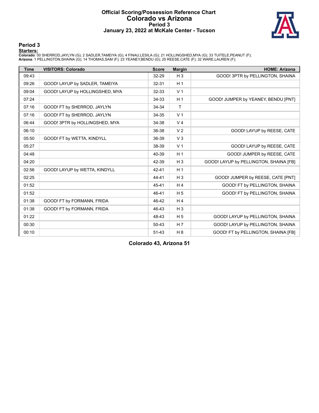#### **Official Scoring/Possession Reference Chart Colorado vs Arizona Period 3 January 23, 2022 at McKale Center - Tucson**



### **Period 3**

<mark>Starters :</mark><br>Colorado: 00 SHERROD,JAYLYN (G); 2 SADLER,TAMEIYA (G); 4 FINAU,LESILA (G); 21 HOLLINGSHED,MYA (G); 33 TUITELE,PEANUT (F);<br>**Arizona**: 1 PELLINGTON,SHAINA (G); 14 THOMAS,SAM (F); 23 YEANEY,BENDU (G); 25 REESE,CA

| <b>Time</b> | <b>VISITORS: Colorado</b>       | <b>Score</b> | <b>Margin</b>  | <b>HOME: Arizona</b>                   |
|-------------|---------------------------------|--------------|----------------|----------------------------------------|
| 09:43       |                                 | 32-29        | $H_3$          | GOOD! 3PTR by PELLINGTON, SHAINA       |
| 09:26       | GOOD! LAYUP by SADLER, TAMEIYA  | $32 - 31$    | H <sub>1</sub> |                                        |
| 09:04       | GOOD! LAYUP by HOLLINGSHED, MYA | 32-33        | V <sub>1</sub> |                                        |
| 07:24       |                                 | 34-33        | H <sub>1</sub> | GOOD! JUMPER by YEANEY, BENDU [PNT]    |
| 07:16       | GOOD! FT by SHERROD, JAYLYN     | 34-34        | $\mathsf{T}$   |                                        |
| 07:16       | GOOD! FT by SHERROD, JAYLYN     | 34-35        | V <sub>1</sub> |                                        |
| 06:44       | GOOD! 3PTR by HOLLINGSHED, MYA  | 34-38        | V <sub>4</sub> |                                        |
| 06:10       |                                 | 36-38        | V <sub>2</sub> | GOOD! LAYUP by REESE, CATE             |
| 05:50       | GOOD! FT by WETTA, KINDYLL      | 36-39        | V <sub>3</sub> |                                        |
| 05:27       |                                 | 38-39        | V <sub>1</sub> | GOOD! LAYUP by REESE, CATE             |
| 04:48       |                                 | 40-39        | H <sub>1</sub> | GOOD! JUMPER by REESE, CATE            |
| 04:20       |                                 | 42-39        | $H_3$          | GOOD! LAYUP by PELLINGTON, SHAINA [FB] |
| 02:56       | GOOD! LAYUP by WETTA, KINDYLL   | 42-41        | H <sub>1</sub> |                                        |
| 02:25       |                                 | 44-41        | $H_3$          | GOOD! JUMPER by REESE, CATE [PNT]      |
| 01:52       |                                 | 45-41        | H <sub>4</sub> | GOOD! FT by PELLINGTON, SHAINA         |
| 01:52       |                                 | 46-41        | H <sub>5</sub> | GOOD! FT by PELLINGTON, SHAINA         |
| 01:38       | GOOD! FT by FORMANN, FRIDA      | 46-42        | H <sub>4</sub> |                                        |
| 01:38       | GOOD! FT by FORMANN, FRIDA      | 46-43        | $H_3$          |                                        |
| 01:22       |                                 | 48-43        | H <sub>5</sub> | GOOD! LAYUP by PELLINGTON, SHAINA      |
| 00:30       |                                 | 50-43        | H <sub>7</sub> | GOOD! LAYUP by PELLINGTON, SHAINA      |
| 00:10       |                                 | $51 - 43$    | H <sub>8</sub> | GOOD! FT by PELLINGTON, SHAINA [FB]    |

**Colorado 43, Arizona 51**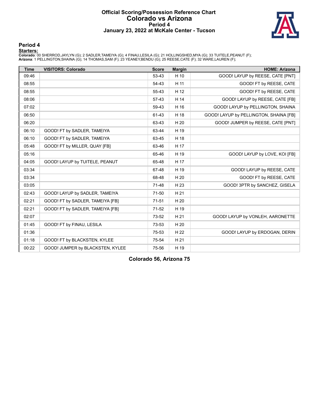#### **Official Scoring/Possession Reference Chart Colorado vs Arizona Period 4 January 23, 2022 at McKale Center - Tucson**



#### **Period 4**

<mark>Starters :</mark><br>Colorado: 00 SHERROD,JAYLYN (G); 2 SADLER,TAMEIYA (G); 4 FINAU,LESILA (G); 21 HOLLINGSHED,MYA (G); 33 TUITELE,PEANUT (F);<br>**Arizona**: 1 PELLINGTON,SHAINA (G); 14 THOMAS,SAM (F); 23 YEANEY,BENDU (G); 25 REESE,CA

| <b>Time</b> | <b>VISITORS: Colorado</b>        | <b>Score</b> | <b>Margin</b> | <b>HOME: Arizona</b>                   |
|-------------|----------------------------------|--------------|---------------|----------------------------------------|
| 09:46       |                                  | 53-43        | H 10          | GOOD! LAYUP by REESE, CATE [PNT]       |
| 08:55       |                                  | 54-43        | H 11          | GOOD! FT by REESE, CATE                |
| 08:55       |                                  | 55-43        | H 12          | GOOD! FT by REESE, CATE                |
| 08:06       |                                  | 57-43        | H 14          | GOOD! LAYUP by REESE, CATE [FB]        |
| 07:02       |                                  | 59-43        | H 16          | GOOD! LAYUP by PELLINGTON, SHAINA      |
| 06:50       |                                  | 61-43        | H 18          | GOOD! LAYUP by PELLINGTON, SHAINA [FB] |
| 06:20       |                                  | 63-43        | H 20          | GOOD! JUMPER by REESE, CATE [PNT]      |
| 06:10       | GOOD! FT by SADLER, TAMEIYA      | 63-44        | H 19          |                                        |
| 06:10       | GOOD! FT by SADLER, TAMEIYA      | 63-45        | H 18          |                                        |
| 05:48       | GOOD! FT by MILLER, QUAY [FB]    | 63-46        | H 17          |                                        |
| 05:16       |                                  | 65-46        | H 19          | GOOD! LAYUP by LOVE, KOI [FB]          |
| 04:05       | GOOD! LAYUP by TUITELE, PEANUT   | 65-48        | H 17          |                                        |
| 03:34       |                                  | 67-48        | H 19          | GOOD! LAYUP by REESE, CATE             |
| 03:34       |                                  | 68-48        | H 20          | GOOD! FT by REESE, CATE                |
| 03:05       |                                  | 71-48        | H 23          | GOOD! 3PTR by SANCHEZ, GISELA          |
| 02:43       | GOOD! LAYUP by SADLER, TAMEIYA   | 71-50        | H 21          |                                        |
| 02:21       | GOOD! FT by SADLER, TAMEIYA [FB] | $71 - 51$    | H 20          |                                        |
| 02:21       | GOOD! FT by SADLER, TAMEIYA [FB] | $71-52$      | H 19          |                                        |
| 02:07       |                                  | 73-52        | H 21          | GOOD! LAYUP by VONLEH, AARONETTE       |
| 01:45       | GOOD! FT by FINAU, LESILA        | 73-53        | H 20          |                                        |
| 01:36       |                                  | 75-53        | H 22          | GOOD! LAYUP by ERDOGAN, DERIN          |
| 01:18       | GOOD! FT by BLACKSTEN, KYLEE     | 75-54        | H 21          |                                        |
| 00:22       | GOOD! JUMPER by BLACKSTEN, KYLEE | 75-56        | H 19          |                                        |

**Colorado 56, Arizona 75**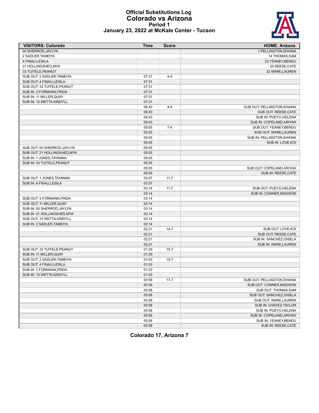#### **Official Substitutions Log Colorado vs Arizona Period 1 January 23, 2022 at McKale Center - Tucson**



| <b>VISITORS: Colorado</b>    | Time           | <b>Score</b> | <b>HOME: Arizona</b>        |
|------------------------------|----------------|--------------|-----------------------------|
| 00 SHERROD.JAYLYN            |                |              | 1 PELLINGTON.SHAINA         |
| 2 SADLER, TAMEIYA            |                |              | 14 THOMAS, SAM              |
| 4 FINAU, LESILA              |                |              | 23 YEANEY, BENDU            |
| 21 HOLLINGSHED, MYA          |                |              | 25 REESE, CATE              |
| 33 TUITELE, PEANUT           |                |              | 32 WARE, LAUREN             |
| SUB OUT: 2 SADLER, TAMEIYA   | 07:31          | $4 - 4$      |                             |
| SUB OUT: 4 FINAU, LESILA     | 07:31          |              |                             |
| SUB OUT: 33 TUITELE, PEANUT  | 07:31          |              |                             |
| SUB IN: 3 FORMANN, FRIDA     | 07:31          |              |                             |
| SUB IN: 11 MILLER, QUAY      | 07:31          |              |                             |
| SUB IN: 15 WETTA.KINDYLL     | 07:31          |              |                             |
|                              | 06:43          | $4 - 4$      | SUB OUT: PELLINGTON, SHAINA |
|                              | 06:43          |              | SUB OUT: REESE, CATE        |
|                              | 06:43          |              | SUB IN: PUEYO, HELENA       |
|                              | 06:43          |              | SUB IN: COPELAND, ARIYAH    |
|                              | 05:05          | $7 - 4$      | SUB OUT: YEANEY, BENDU      |
|                              | 05:05          |              | SUB OUT: WARE, LAUREN       |
|                              | 05:05          |              | SUB IN: PELLINGTON, SHAINA  |
|                              | 05:05          |              | SUB IN: LOVE, KOI           |
| SUB OUT: 00 SHERROD, JAYLYN  | 05:05          |              |                             |
| SUB OUT: 21 HOLLINGSHED, MYA | 05:05          |              |                             |
| SUB IN: 1 JONES, TAYANNA     | 05:05          |              |                             |
| SUB IN: 33 TUITELE, PEANUT   | 05:05          |              |                             |
|                              | 05:05          |              | SUB OUT: COPELAND, ARIYAH   |
|                              | 05:05          |              | SUB IN: REESE, CATE         |
| SUB OUT: 1 JONES, TAYANNA    | 03:37          | $11 - 7$     |                             |
| SUB IN: 4 FINAU, LESILA      | 03:37          |              |                             |
|                              | 03:14          | $11 - 7$     | SUB OUT: PUEYO, HELENA      |
|                              | 03:14          |              | SUB IN: CONNER, MADISON     |
| SUB OUT: 3 FORMANN, FRIDA    | 03:14          |              |                             |
| SUB OUT: 11 MILLER, QUAY     | 03:14          |              |                             |
| SUB IN: 00 SHERROD, JAYLYN   | 03:14          |              |                             |
| SUB IN: 21 HOLLINGSHED, MYA  | 03:14          |              |                             |
| SUB OUT: 15 WETTA, KINDYLL   | 03:14          |              |                             |
| SUB IN: 2 SADLER, TAMEIYA    | 03:14          |              |                             |
|                              | 02:21          | $14 - 7$     | SUB OUT: LOVE, KOI          |
|                              | 02:21          |              | SUB OUT: REESE, CATE        |
|                              | 02:21          |              | SUB IN: SANCHEZ, GISELA     |
|                              | 02:21          |              | SUB IN: WARE, LAUREN        |
| SUB OUT: 33 TUITELE, PEANUT  | 01:29          | $15 - 7$     |                             |
| SUB IN: 11 MILLER, QUAY      | 01:29          |              |                             |
| SUB OUT: 2 SADLER, TAMEIYA   | 01:03          | $15 - 7$     |                             |
| SUB OUT: 4 FINAU, LESILA     | 01:03          |              |                             |
| SUB IN: 3 FORMANN, FRIDA     | 01:03          |              |                             |
| SUB IN: 15 WETTA, KINDYLL    | 01:03          |              |                             |
|                              | 00:58          | $17 - 7$     | SUB OUT: PELLINGTON, SHAINA |
|                              | 00:58          |              | SUB OUT: CONNER, MADISON    |
|                              | 00:58          |              | SUB OUT: THOMAS, SAM        |
|                              | 00:58          |              | SUB OUT: SANCHEZ, GISELA    |
|                              |                |              | SUB OUT: WARE, LAUREN       |
|                              | 00:58<br>00:58 |              | SUB IN: CHAVEZ, TAYLOR      |
|                              |                |              |                             |
|                              | 00:58          |              | SUB IN: PUEYO, HELENA       |
|                              | 00:58          |              | SUB IN: COPELAND, ARIYAH    |
|                              | 00:58          |              | SUB IN: YEANEY, BENDU       |
|                              | 00:58          |              | SUB IN: REESE, CATE         |

**Colorado 17, Arizona 7**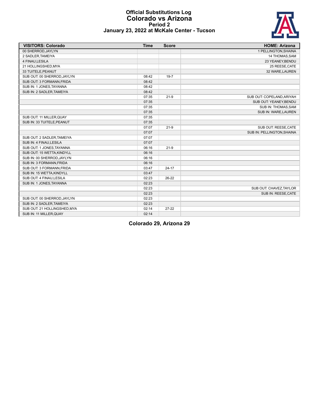#### **Official Substitutions Log Colorado vs Arizona Period 2 January 23, 2022 at McKale Center - Tucson**



| <b>VISITORS: Colorado</b>    | <b>Time</b> | <b>Score</b> | <b>HOME: Arizona</b>       |
|------------------------------|-------------|--------------|----------------------------|
| 00 SHERROD, JAYLYN           |             |              | 1 PELLINGTON, SHAINA       |
| 2 SADLER, TAMEIYA            |             |              | 14 THOMAS, SAM             |
| 4 FINAU, LESILA              |             |              | 23 YEANEY, BENDU           |
| 21 HOLLINGSHED, MYA          |             |              | 25 REESE, CATE             |
| 33 TUITELE, PEANUT           |             |              | 32 WARE, LAUREN            |
| SUB OUT: 00 SHERROD, JAYLYN  | 08:42       | $19 - 7$     |                            |
| SUB OUT: 3 FORMANN, FRIDA    | 08:42       |              |                            |
| SUB IN: 1 JONES, TAYANNA     | 08:42       |              |                            |
| SUB IN: 2 SADLER, TAMEIYA    | 08:42       |              |                            |
|                              | 07:35       | $21-9$       | SUB OUT: COPELAND, ARIYAH  |
|                              | 07:35       |              | SUB OUT: YEANEY, BENDU     |
|                              | 07:35       |              | SUB IN: THOMAS, SAM        |
|                              | 07:35       |              | SUB IN: WARE, LAUREN       |
| SUB OUT: 11 MILLER, QUAY     | 07:35       |              |                            |
| SUB IN: 33 TUITELE, PEANUT   | 07:35       |              |                            |
|                              | 07:07       | $21-9$       | SUB OUT: REESE, CATE       |
|                              | 07:07       |              | SUB IN: PELLINGTON, SHAINA |
| SUB OUT: 2 SADLER, TAMEIYA   | 07:07       |              |                            |
| SUB IN: 4 FINAU, LESILA      | 07:07       |              |                            |
| SUB OUT: 1 JONES, TAYANNA    | 06:16       | $21-9$       |                            |
| SUB OUT: 15 WETTA, KINDYLL   | 06:16       |              |                            |
| SUB IN: 00 SHERROD, JAYLYN   | 06:16       |              |                            |
| SUB IN: 3 FORMANN, FRIDA     | 06:16       |              |                            |
| SUB OUT: 3 FORMANN, FRIDA    | 03:47       | $24 - 17$    |                            |
| SUB IN: 15 WETTA, KINDYLL    | 03:47       |              |                            |
| SUB OUT: 4 FINAU, LESILA     | 02:23       | 26-22        |                            |
| SUB IN: 1 JONES, TAYANNA     | 02:23       |              |                            |
|                              | 02:23       |              | SUB OUT: CHAVEZ, TAYLOR    |
|                              | 02:23       |              | SUB IN: REESE, CATE        |
| SUB OUT: 00 SHERROD, JAYLYN  | 02:23       |              |                            |
| SUB IN: 2 SADLER, TAMEIYA    | 02:23       |              |                            |
| SUB OUT: 21 HOLLINGSHED, MYA | 02:14       | $27 - 22$    |                            |
| SUB IN: 11 MILLER, QUAY      | 02:14       |              |                            |

**Colorado 29, Arizona 29**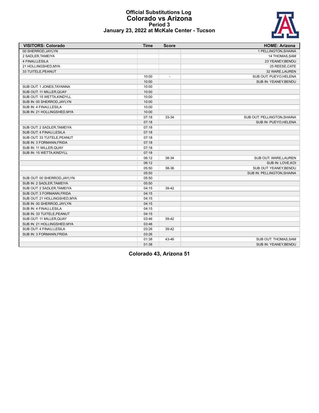#### **Official Substitutions Log Colorado vs Arizona Period 3 January 23, 2022 at McKale Center - Tucson**

| <b>VISITORS: Colorado</b>    | <b>Time</b> | <b>Score</b>   | <b>HOME: Arizona</b>        |
|------------------------------|-------------|----------------|-----------------------------|
| 00 SHERROD.JAYLYN            |             |                | 1 PELLINGTON, SHAINA        |
| 2 SADLER, TAMEIYA            |             |                | 14 THOMAS, SAM              |
| 4 FINAU, LESILA              |             |                | 23 YEANEY, BENDU            |
| 21 HOLLINGSHED, MYA          |             |                | 25 REESE, CATE              |
| 33 TUITELE, PEANUT           |             |                | 32 WARE, LAUREN             |
|                              | 10:00       | $\overline{a}$ | SUB OUT: PUEYO, HELENA      |
|                              | 10:00       |                | SUB IN: YEANEY, BENDU       |
| SUB OUT: 1 JONES, TAYANNA    | 10:00       |                |                             |
| SUB OUT: 11 MILLER, QUAY     | 10:00       |                |                             |
| SUB OUT: 15 WETTA, KINDYLL   | 10:00       |                |                             |
| SUB IN: 00 SHERROD, JAYLYN   | 10:00       |                |                             |
| SUB IN: 4 FINAU, LESILA      | 10:00       |                |                             |
| SUB IN: 21 HOLLINGSHED, MYA  | 10:00       |                |                             |
|                              | 07:18       | 33-34          | SUB OUT: PELLINGTON, SHAINA |
|                              | 07:18       |                | SUB IN: PUEYO, HELENA       |
| SUB OUT: 2 SADLER, TAMEIYA   | 07:18       |                |                             |
| SUB OUT: 4 FINAU.LESILA      | 07:18       |                |                             |
| SUB OUT: 33 TUITELE, PEANUT  | 07:18       |                |                             |
| SUB IN: 3 FORMANN, FRIDA     | 07:18       |                |                             |
| SUB IN: 11 MILLER, QUAY      | 07:18       |                |                             |
| SUB IN: 15 WETTA, KINDYLL    | 07:18       |                |                             |
|                              | 06:12       | 38-34          | SUB OUT: WARE, LAUREN       |
|                              | 06:12       |                | SUB IN: LOVE, KOI           |
|                              | 05:50       | 38-36          | SUB OUT: YEANEY, BENDU      |
|                              | 05:50       |                | SUB IN: PELLINGTON, SHAINA  |
| SUB OUT: 00 SHERROD, JAYLYN  | 05:50       |                |                             |
| SUB IN: 2 SADLER, TAMEIYA    | 05:50       |                |                             |
| SUB OUT: 2 SADLER, TAMEIYA   | 04:15       | 39-42          |                             |
| SUB OUT: 3 FORMANN, FRIDA    | 04:15       |                |                             |
| SUB OUT: 21 HOLLINGSHED, MYA | 04:15       |                |                             |
| SUB IN: 00 SHERROD, JAYLYN   | 04:15       |                |                             |
| SUB IN: 4 FINAU, LESILA      | 04:15       |                |                             |
| SUB IN: 33 TUITELE, PEANUT   | 04:15       |                |                             |
| SUB OUT: 11 MILLER, QUAY     | 03:46       | 39-42          |                             |
| SUB IN: 21 HOLLINGSHED, MYA  | 03:46       |                |                             |
| SUB OUT: 4 FINAU, LESILA     | 03:26       | 39-42          |                             |
| SUB IN: 3 FORMANN.FRIDA      | 03:26       |                |                             |
|                              | 01:38       | 43-46          | SUB OUT: THOMAS, SAM        |
|                              | 01:38       |                | SUB IN: YEANEY.BENDU        |

**Colorado 43, Arizona 51**